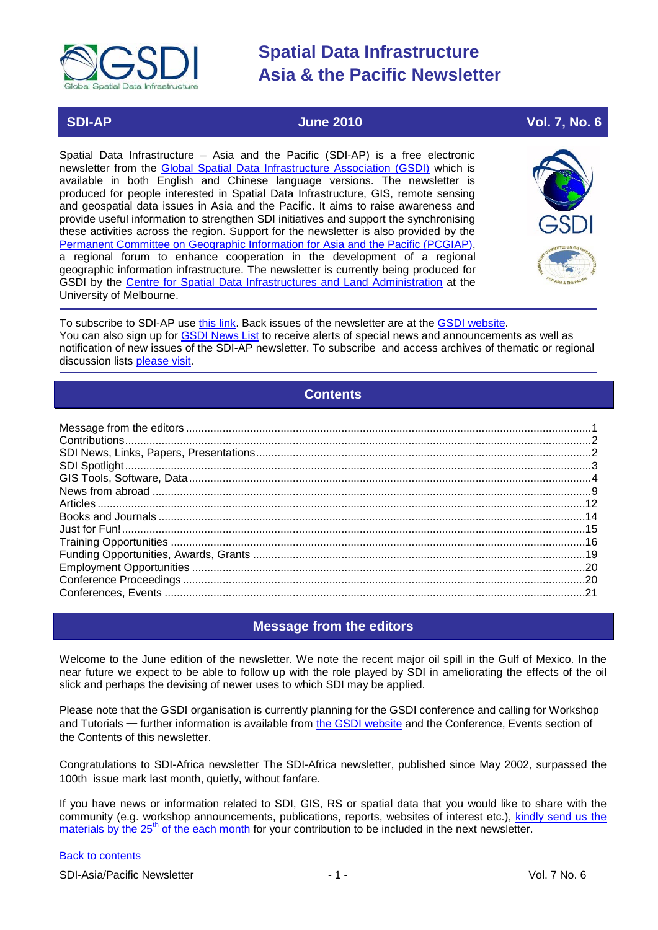

 **SDI-AP June 2010 Vol. 7, No. 6**

Spatial Data Infrastructure – Asia and the Pacific (SDI-AP) is a free electronic newsletter from the [Global Spatial Data Infrastructure Association \(GSDI\)](http://www.gsdi.org/) which is available in both English and Chinese language versions. The newsletter is produced for people interested in Spatial Data Infrastructure, GIS, remote sensing and geospatial data issues in Asia and the Pacific. It aims to raise awareness and provide useful information to strengthen SDI initiatives and support the synchronising these activities across the region. Support for the newsletter is also provided by the [Permanent Committee on Geographic Information for Asia and the Pacific \(PCGIAP\)](http://www.pcgiap.org/), a regional forum to enhance cooperation in the development of a regional geographic information infrastructure. The newsletter is currently being produced for GSDI by the [Centre for Spatial Data Infrastructures and Land Administration](http://www.csdila.unimelb.edu.au/) at the University of Melbourne.



To subscribe to SDI-AP use [this link.](http://www.gsdi.org/newslist/gsdisubscribe.asp) Back issues of the newsletter are at the [GSDI website.](http://www.gsdi.org/newsletters.asp) You can also sign up for **GSDI News List** to receive alerts of special news and announcements as well as notification of new issues of the SDI-AP newsletter. To subscribe and access archives of thematic or regional discussion lists [please visit.](http://www.gsdi.org/discussionlists.asp)

# **Contents**

<span id="page-0-0"></span>

# **Message from the editors**

<span id="page-0-1"></span>Welcome to the June edition of the newsletter. We note the recent major oil spill in the Gulf of Mexico. In the near future we expect to be able to follow up with the role played by SDI in ameliorating the effects of the oil slick and perhaps the devising of newer uses to which SDI may be applied.

Please note that the GSDI organisation is currently planning for the GSDI conference and calling for Workshop and Tutorials — further information is available from [the GSDI website](http://www.gsdi.org/node/246) and the Conference, Events section of the Contents of this newsletter.

Congratulations to SDI-Africa newsletter The SDI-Africa newsletter, published since May 2002, surpassed the 100th issue mark last month, quietly, without fanfare.

If you have news or information related to SDI, GIS, RS or spatial data that you would like to share with the community (e.g. workshop announcements, publications, reports, websites of interest etc.), [kindly send us](mailto:sdi-ap@gsdi.org) the materials by the  $25<sup>th</sup>$  of the each month for your contribution to be included in the next newsletter.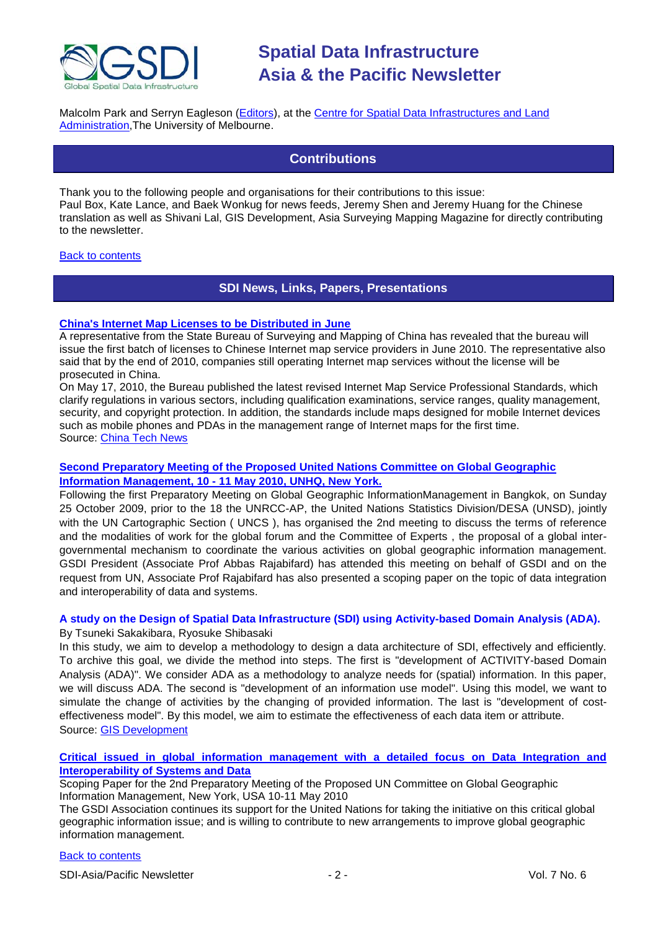

<span id="page-1-0"></span>Malcolm Park and Serryn Eagleson [\(Editors\)](mailto:Editor.SDIAP@gmail.com), at the [Centre for Spatial Data Infrastructures and Land](http://www.csdila.unimelb.edu.au/)  [Administration,](http://www.csdila.unimelb.edu.au/) The University of Melbourne.

# **Contributions**

Thank you to the following people and organisations for their contributions to this issue: Paul Box, Kate Lance, and Baek Wonkug for news feeds, Jeremy Shen and Jeremy Huang for the Chinese translation as well as Shivani Lal, GIS Development, Asia Surveying Mapping Magazine for directly contributing to the newsletter.

### <span id="page-1-1"></span>[Back to contents](#page-0-0)

# **SDI News, Links, Papers, Presentations**

# **[China's Internet Map Licenses to be Distributed in June](http://apb.directionsmag.com/archives/8042-Chinas-Internet-Map-Licenses-to-be-Distributed-in-June.html)**

A representative from the State Bureau of Surveying and Mapping of China has revealed that the bureau will issue the first batch of licenses to Chinese Internet map service providers in June 2010. The representative also said that by the end of 2010, companies still operating Internet map services without the license will be prosecuted in China.

On May 17, 2010, the Bureau published the latest revised Internet Map Service Professional Standards, which clarify regulations in various sectors, including qualification examinations, service ranges, quality management, security, and copyright protection. In addition, the standards include maps designed for mobile Internet devices such as mobile phones and PDAs in the management range of Internet maps for the first time. Source: [China Tech News](http://www.chinatechnews.com/2010/05/28/12122-china-will-issue-internet-map-licenses-in-june-2010)

# **[Second Preparatory Meeting of the Proposed United Nations Committee on Global Geographic](http://www.gsdi.org/node/264)  Information Management, 10 - [11 May 2010, UNHQ, New York.](http://www.gsdi.org/node/264)**

Following the first Preparatory Meeting on Global Geographic InformationManagement in Bangkok, on Sunday 25 October 2009, prior to the 18 the UNRCC-AP, the United Nations Statistics Division/DESA (UNSD), jointly with the UN Cartographic Section ( UNCS ), has organised the 2nd meeting to discuss the terms of reference and the modalities of work for the global forum and the Committee of Experts , the proposal of a global intergovernmental mechanism to coordinate the various activities on global geographic information management. GSDI President (Associate Prof Abbas Rajabifard) has attended this meeting on behalf of GSDI and on the request from UN, Associate Prof Rajabifard has also presented a scoping paper on the topic of data integration and interoperability of data and systems.

#### **A study on the Design of Spatial Data Infrastructure (SDI) using Activity-based Domain Analysis (ADA).**  By Tsuneki Sakakibara, Ryosuke Shibasaki

In this study, we aim to develop a methodology to design a data architecture of SDI, effectively and efficiently. To archive this goal, we divide the method into steps. The first is "development of ACTIVITY-based Domain Analysis (ADA)". We consider ADA as a methodology to analyze needs for (spatial) information. In this paper, we will discuss ADA. The second is "development of an information use model". Using this model, we want to simulate the change of activities by the changing of provided information. The last is "development of costeffectiveness model". By this model, we aim to estimate the effectiveness of each data item or attribute. Source: [GIS Development](http://beta.gisdevelopment.net/index.php?option=com_content&view=article&id=13986%3Aa-study-on-the-design-of-spatial-data-infrastructure-sdi-using-activity-based-domain-analysis-ada&catid=83%3Atechnology-gis&Itemid=50)

# **[Critical issued in global information management with a detailed focus on Data Integration and](http://unstats.un.org/unsd/geoinfo/meetings/10-11_may2010/papers/GSDI%20scoping%20paper-Abbad%20Rajabifard%202nd%20UNCGGIM%20meeting.pdf)  [Interoperability of Systems and Data](http://unstats.un.org/unsd/geoinfo/meetings/10-11_may2010/papers/GSDI%20scoping%20paper-Abbad%20Rajabifard%202nd%20UNCGGIM%20meeting.pdf)**

Scoping Paper for the 2nd Preparatory Meeting of the Proposed UN Committee on Global Geographic Information Management, New York, USA 10-11 May 2010

The GSDI Association continues its support for the United Nations for taking the initiative on this critical global geographic information issue; and is willing to contribute to new arrangements to improve global geographic information management.

# **[Back to contents](#page-0-0)**

SDI-Asia/Pacific Newsletter  $\sim$  2 - 2 - Vol. 7 No. 6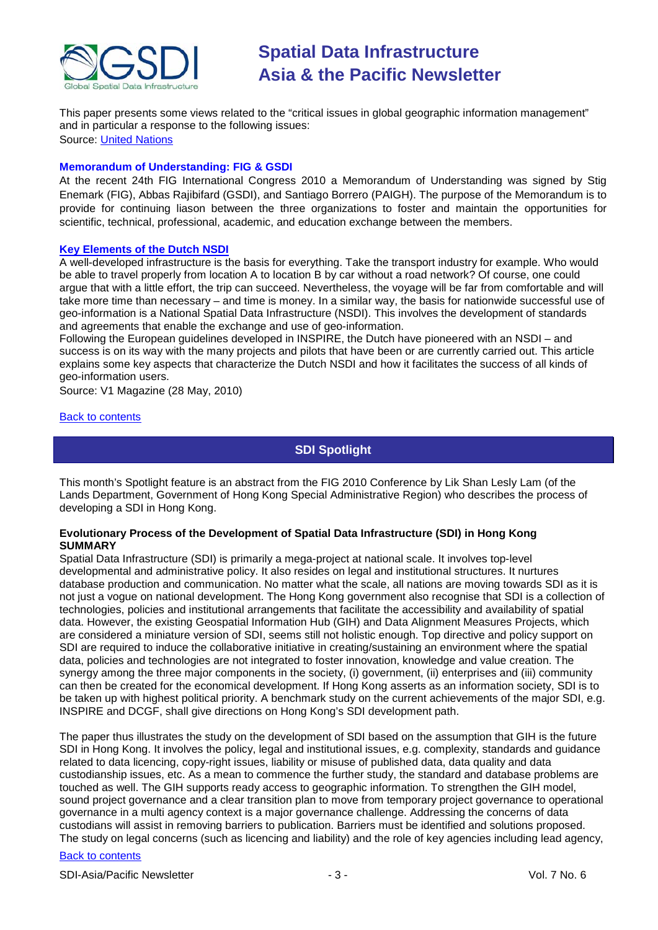

This paper presents some views related to the "critical issues in global geographic information management" and in particular a response to the following issues: Source: [United Nations](http://unstats.un.org/unsd/geoinfo/meetings/10-11_may2010/papers/GSDI%20scoping%20paper-Abbad%20Rajabifard%202nd%20UNCGGIM%20meeting.pdf)

### **Memorandum of Understanding: FIG & GSDI**

At the recent 24th FIG International Congress 2010 a Memorandum of Understanding was signed by Stig Enemark (FIG), Abbas Rajibifard (GSDI), and Santiago Borrero (PAIGH). The purpose of the Memorandum is to provide for continuing liason between the three organizations to foster and maintain the opportunities for scientific, technical, professional, academic, and education exchange between the members.

### **[Key Elements of the Dutch NSDI](http://www.vector1media.com/articles/features/12823-key-elements-of-the-dutch-nsdi)**

A well-developed infrastructure is the basis for everything. Take the transport industry for example. Who would be able to travel properly from location A to location B by car without a road network? Of course, one could argue that with a little effort, the trip can succeed. Nevertheless, the voyage will be far from comfortable and will take more time than necessary – and time is money. In a similar way, the basis for nationwide successful use of geo-information is a National Spatial Data Infrastructure (NSDI). This involves the development of standards and agreements that enable the exchange and use of geo-information.

Following the European guidelines developed in INSPIRE, the Dutch have pioneered with an NSDI – and success is on its way with the many projects and pilots that have been or are currently carried out. This article explains some key aspects that characterize the Dutch NSDI and how it facilitates the success of all kinds of geo-information users.

Source: V1 Magazine (28 May, 2010)

# <span id="page-2-0"></span>**[Back to contents](#page-0-0)**

**SDI Spotlight** 

This month's Spotlight feature is an abstract from the FIG 2010 Conference by Lik Shan Lesly Lam (of the Lands Department, Government of Hong Kong Special Administrative Region) who describes the process of developing a SDI in Hong Kong.

### **Evolutionary Process of the Development of Spatial Data Infrastructure (SDI) in Hong Kong SUMMARY**

Spatial Data Infrastructure (SDI) is primarily a mega-project at national scale. It involves top-level developmental and administrative policy. It also resides on legal and institutional structures. It nurtures database production and communication. No matter what the scale, all nations are moving towards SDI as it is not just a vogue on national development. The Hong Kong government also recognise that SDI is a collection of technologies, policies and institutional arrangements that facilitate the accessibility and availability of spatial data. However, the existing Geospatial Information Hub (GIH) and Data Alignment Measures Projects, which are considered a miniature version of SDI, seems still not holistic enough. Top directive and policy support on SDI are required to induce the collaborative initiative in creating/sustaining an environment where the spatial data, policies and technologies are not integrated to foster innovation, knowledge and value creation. The synergy among the three major components in the society, (i) government, (ii) enterprises and (iii) community can then be created for the economical development. If Hong Kong asserts as an information society, SDI is to be taken up with highest political priority. A benchmark study on the current achievements of the major SDI, e.g. INSPIRE and DCGF, shall give directions on Hong Kong's SDI development path.

The paper thus illustrates the study on the development of SDI based on the assumption that GIH is the future SDI in Hong Kong. It involves the policy, legal and institutional issues, e.g. complexity, standards and guidance related to data licencing, copy-right issues, liability or misuse of published data, data quality and data custodianship issues, etc. As a mean to commence the further study, the standard and database problems are touched as well. The GIH supports ready access to geographic information. To strengthen the GIH model, sound project governance and a clear transition plan to move from temporary project governance to operational governance in a multi agency context is a major governance challenge. Addressing the concerns of data custodians will assist in removing barriers to publication. Barriers must be identified and solutions proposed. The study on legal concerns (such as licencing and liability) and the role of key agencies including lead agency,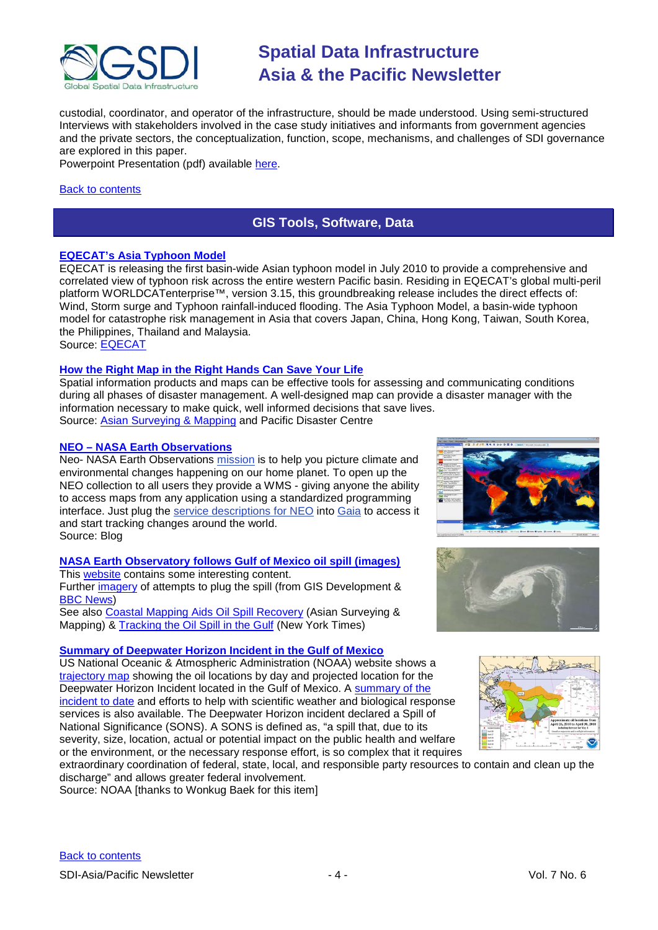

custodial, coordinator, and operator of the infrastructure, should be made understood. Using semi-structured Interviews with stakeholders involved in the case study initiatives and informants from government agencies and the private sectors, the conceptualization, function, scope, mechanisms, and challenges of SDI governance are explored in this paper.

Powerpoint Presentation (pdf) available [here.](http://www.fig.net/pub/fig2010/ppt/ts03b/ts03b_tang_lam_ppt_4175.pdf)

# <span id="page-3-0"></span>[Back to contents](#page-0-0)

# **GIS Tools, Software, Data**

# **[EQECAT's Asia Typhoon Model](http://www.pdc.org/PDCNewsWebArticles/2010/LifeSaver/maps.htm)**

EQECAT is releasing the first basin-wide Asian typhoon model in July 2010 to provide a comprehensive and correlated view of typhoon risk across the entire western Pacific basin. Residing in EQECAT's global multi-peril platform WORLDCATenterprise™, version 3.15, this groundbreaking release includes the direct effects of: Wind, Storm surge and Typhoon rainfall-induced flooding. The Asia Typhoon Model, a basin-wide typhoon model for catastrophe risk management in Asia that covers Japan, China, Hong Kong, Taiwan, South Korea, the Philippines, Thailand and Malaysia.

Source: [EQECAT](http://www.eqecat.com/catastrophe-models/asia-typhoon.html)

# **[How the Right Map in the Right Hands Can Save Your Life](http://www.pdc.org/PDCNewsWebArticles/2010/LifeSaver/maps.htm)**

Spatial information products and maps can be effective tools for assessing and communicating conditions during all phases of disaster management. A well-designed map can provide a disaster manager with the information necessary to make quick, well informed decisions that save lives. Source: [Asian Surveying & Mapping](http://asmmag.com/news/how-the-right-map-in-the-right-hands-can-save-your-life) and Pacific Disaster Centre

# **NEO – [NASA Earth Observations](http://neo.sci.gsfc.nasa.gov/Search.html?group=69)**

Neo- NASA Earth Observations [mission](http://neo.sci.gsfc.nasa.gov/) is to help you picture climate and environmental changes happening on our home planet. To open up the NEO collection to all users they provide a WMS - giving anyone the ability to access maps from any application using a standardized programming interface. Just plug the [service descriptions for NEO](http://neowms.sci.gsfc.nasa.gov/wms/wms?version=1.1.1&service=WMS&request=GetCapabilities) into [Gaia](http://www.thecarbonproject.com/gaia.php) to access it and start tracking changes around the world. Source: Blog

# **[NASA Earth Observatory follows Gulf of Mexico oil spill \(images\)](http://earthobservatory.nasa.gov/NaturalHazards/event.php?id=43733)**

This [website](http://earthobservatory.nasa.gov/) contains some interesting content. Further [imagery](http://www.gisdevelopment.net/ezine/weekly/imgoftheweekmay1010.htm) of attempts to plug the spill (from GIS Development &

[BBC News\)](http://news.bbc.co.uk/2/hi/8668753.stm) See also [Coastal Mapping Aids Oil Spill Recovery](http://asmmag.com/features/coastal-mapping-aids-oil-spill-recovery) (Asian Surveying &

Mapping) & [Tracking the Oil Spill in the Gulf](http://www.nytimes.com/interactive/2010/05/01/us/20100501-oil-spill-tracker.html?ref=us) (New York Times)

# **[Summary of Deepwater Horizon Incident in the Gulf of Mexico](http://response.restoration.noaa.gov/topic_subtopic_entry.php?RECORD_KEY%28entry_subtopic_topic%29=entry_id,subtopic_id,topic_id&entry_id(entry_subtopic_topic)=809&subtopic_id(entry_subtopic_topic)=2&topic_id(entry_subtopic_topic)=1)**

US National Oceanic & Atmospheric Administration (NOAA) website shows a [trajectory map](http://response.restoration.noaa.gov/book_shelf/1891_TM-2010-04-30-1453.pdf) showing the oil locations by day and projected location for the Deepwater Horizon Incident located in the Gulf of Mexico. A [summary of the](http://response.restoration.noaa.gov/topic_subtopic_entry.php?RECORD_KEY(entry_subtopic_topic)=entry_id,subtopic_id,topic_id&entry_id(entry_subtopic_topic)=809&subtopic_id(entry_subtopic_topic)=2&topic_id(entry_subtopic_topic)=1#downloads)  [incident to date](http://response.restoration.noaa.gov/topic_subtopic_entry.php?RECORD_KEY(entry_subtopic_topic)=entry_id,subtopic_id,topic_id&entry_id(entry_subtopic_topic)=809&subtopic_id(entry_subtopic_topic)=2&topic_id(entry_subtopic_topic)=1#downloads) and efforts to help with scientific weather and biological response services is also available. The Deepwater Horizon incident declared a Spill of National Significance (SONS). A SONS is defined as, "a spill that, due to its severity, size, location, actual or potential impact on the public health and welfare or the environment, or the necessary response effort, is so complex that it requires



extraordinary coordination of federal, state, local, and responsible party resources to contain and clean up the discharge" and allows greater federal involvement.

Source: NOAA [thanks to Wonkug Baek for this item]



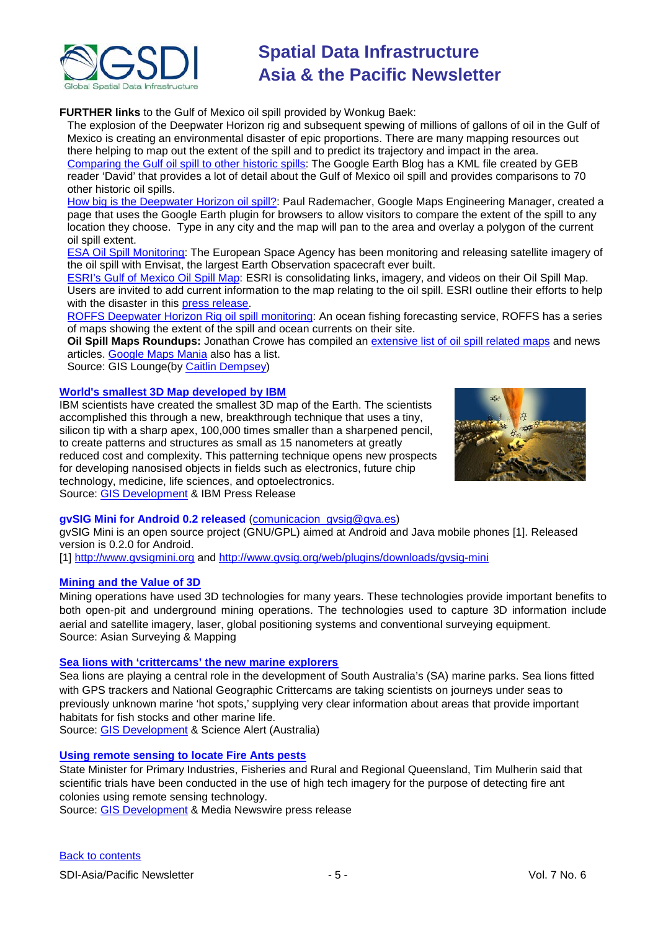

**FURTHER links** to the Gulf of Mexico oil spill provided by Wonkug Baek:

The explosion of the Deepwater Horizon rig and subsequent spewing of millions of gallons of oil in the Gulf of Mexico is creating an environmental disaster of epic proportions. There are many mapping resources out there helping to map out the extent of the spill and to predict its trajectory and impact in the area. [Comparing the Gulf oil spill to other historic spills:](http://www.gearthblog.com/blog/archives/2010/05/comparing_the_gulf_oil_spill_to_oth.html) The Google Earth Blog has a KML file created by GEB reader 'David' that provides a lot of detail about the Gulf of Mexico oil spill and provides comparisons to 70 other historic oil spills.

[How big is the Deepwater Horizon oil spill?:](http://paulrademacher.com/oilspill/) Paul Rademacher, Google Maps Engineering Manager, created a page that uses the Google Earth plugin for browsers to allow visitors to compare the extent of the spill to any location they choose. Type in any city and the map will pan to the area and overlay a polygon of the current oil spill extent.

[ESA Oil Spill Monitoring:](http://news.gislounge.com/2010/04/oil-spill-in-the-gulf-of-mexico-nears-the-coast/) The European Space Agency has been monitoring and releasing satellite imagery of the oil spill with Envisat, the largest Earth Observation spacecraft ever built.

[ESRI's Gulf of Mexico Oil Spill Map:](http://www.esri.com/services/disaster-response/gulf-oil-spill-2010/index.html) ESRI is consolidating links, imagery, and videos on their Oil Spill Map. Users are invited to add current information to the map relating to the oil spill. ESRI outline their efforts to help with the disaster in this [press release.](http://news.gislounge.com/2010/05/esri-provides-around-the-clock-support-for-oil-spill-disaster/)

[ROFFS Deepwater Horizon Rig oil spill monitoring:](http://www.roffs.com/deepwaterhorizon.html) An ocean fishing forecasting service, ROFFS has a series of maps showing the extent of the spill and ocean currents on their site.

**Oil Spill Maps Roundups:** Jonathan Crowe has compiled an [extensive list of oil spill related maps](http://www.mcwetboy.net/maproom/2010/05/mapping_the_gul.php) and news articles. [Google Maps Mania](http://googlemapsmania.blogspot.com/2010/05/gulf-of-mexico-oil-spill-maps.html) also has a list.

Source: GIS Lounge(by [Caitlin Dempsey\)](http://gislounge.com/author/caitlin/)

# **[World's smallest 3D Map developed by IBM](http://www-03.ibm.com/press/us/en/pressrelease/29983.wss)**

IBM scientists have created the smallest 3D map of the Earth. The scientists accomplished this through a new, breakthrough technique that uses a tiny, silicon tip with a sharp apex, 100,000 times smaller than a sharpened pencil, to create patterns and structures as small as 15 nanometers at greatly reduced cost and complexity. This patterning technique opens new prospects for developing nanosised objects in fields such as electronics, future chip technology, medicine, life sciences, and optoelectronics. Source: [GIS Development](http://beta.gisdevelopment.net/index.php?option=com_content&view=article&id=17418%3Aworlds-smallest-3d-map-developed-by-ibm&catid=48%3Aproduct-cartography-map-publishing&Itemid=1) & IBM Press Release



### **gvSIG Mini for Android 0.2 released** [\(comunicacion\\_gvsig@gva.es\)](mailto:comunicacion_gvsig@gva.es)

gvSIG Mini is an open source project (GNU/GPL) aimed at Android and Java mobile phones [1]. Released version is 0.2.0 for Android.

[1] [http://www.gvsigmini.org](https://owa.unimelb.edu.au/exchweb/bin/redir.asp?URL=http://www.gvsigmini.org) and [http://www.gvsig.org/web/plugins/downloads/gvsig-mini](https://owa.unimelb.edu.au/exchweb/bin/redir.asp?URL=http://www.gvsig.org/web/plugins/downloads/gvsig-mini)

### **[Mining and the Value of 3D](http://asmmag.com/features/mining-and-the-value-of-3d)**

Mining operations have used 3D technologies for many years. These technologies provide important benefits to both open-pit and underground mining operations. The technologies used to capture 3D information include aerial and satellite imagery, laser, global positioning systems and conventional surveying equipment. Source: Asian Surveying & Mapping

# **[Sea lions with 'crittercams' the new marine explorers](http://www.sciencealert.com.au/news/20101904-20858.html)**

Sea lions are playing a central role in the development of South Australia's (SA) marine parks. Sea lions fitted with GPS trackers and National Geographic Crittercams are taking scientists on journeys under seas to previously unknown marine 'hot spots,' supplying very clear information about areas that provide important habitats for fish stocks and other marine life.

Source: [GIS Development](http://beta.gisdevelopment.net/index.php?option=com_content&view=article&id=17407%3Asea-lions-for-marine-expeditions-in-australia&catid=64%3Aapplication-environment&Itemid=1) & Science Alert (Australia)

# **[Using remote sensing to locate Fire Ants pests](http://media-newswire.com/release_1117744.html)**

State Minister for Primary Industries, Fisheries and Rural and Regional Queensland, Tim Mulherin said that scientific trials have been conducted in the use of high tech imagery for the purpose of detecting fire ant colonies using remote sensing technology.

Source: [GIS Development](http://beta.gisdevelopment.net/index.php?option=com_content&view=article&id=17400%3Aaustralia-to-eradicate-fire-ants-through-remote-sensing-&catid=64%3Aapplication-environment&Itemid=1) & Media Newswire press release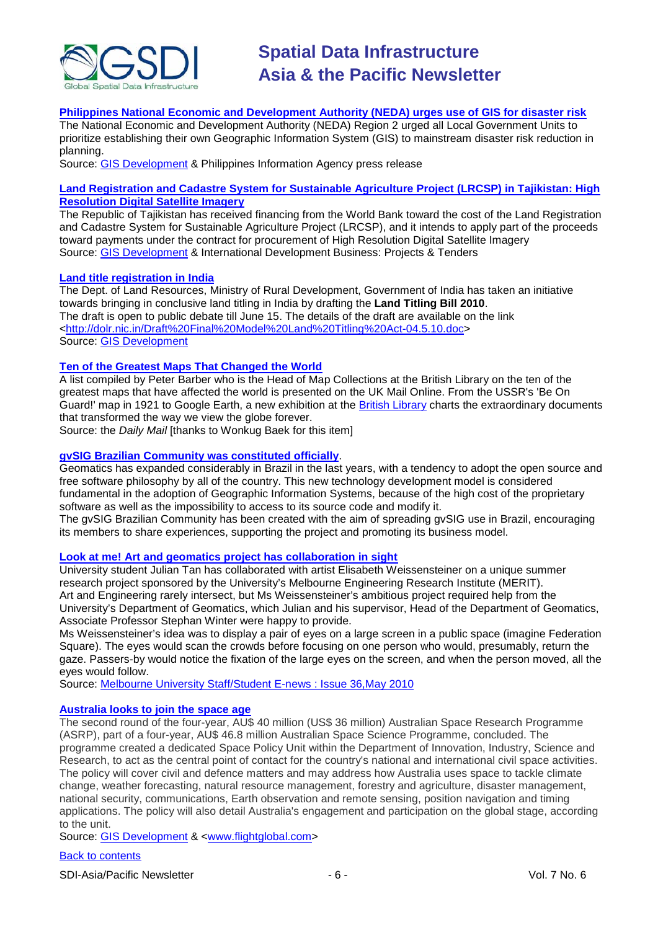

# **[Philippines National Economic and Development Authority \(NEDA\) urges use of GIS for disaster risk](http://www.pia.gov.ph/default.asp?m=12&r=&y=&mo=&fi=p100426.htm&no=56)**

The National Economic and Development Authority (NEDA) Region 2 urged all Local Government Units to prioritize establishing their own Geographic Information System (GIS) to mainstream disaster risk reduction in planning.

Source: [GIS Development](http://beta.gisdevelopment.net/index.php?option=com_content&view=article&id=17399%3Aneda-for-gis-in-government-units&catid=42%3Aproduct-gis&Itemid=1) & Philippines Information Agency press release

# **[Land Registration and Cadastre System for Sustainable Agriculture Project \(LRCSP\) in Tajikistan: High](http://www.devex.com/projects/land-registration-and-cadastre-system-for-sustainable-agriculture-project-lrcsp-in-tajikistan-high-resolution-digital-satellite-imagery)  [Resolution Digital Satellite Imagery](http://www.devex.com/projects/land-registration-and-cadastre-system-for-sustainable-agriculture-project-lrcsp-in-tajikistan-high-resolution-digital-satellite-imagery)**

The Republic of Tajikistan has received financing from the World Bank toward the cost of the Land Registration and Cadastre System for Sustainable Agriculture Project (LRCSP), and it intends to apply part of the proceeds toward payments under the contract for procurement of High Resolution Digital Satellite Imagery Source: [GIS Development](http://beta.gisdevelopment.net/index.php?option=com_content&view=article&id=17399%3Aneda-for-gis-in-government-units&catid=42%3Aproduct-gis&Itemid=1) & International Development Business: Projects & Tenders

### **Land title registration in India**

The Dept. of Land Resources, Ministry of Rural Development, Government of India has taken an initiative towards bringing in conclusive land titling in India by drafting the **Land Titling Bill 2010**. The draft is open to public debate till June 15. The details of the draft are available on the link [<http://dolr.nic.in/Draft%20Final%20Model%20Land%20Titling%20Act-04.5.10.doc>](http://dolr.nic.in/Draft%20Final%20Model%20Land%20Titling%20Act-04.5.10.doc) Source: [GIS Development](http://beta.gisdevelopment.net/index.php?option=com_content&view=article&id=17500%3Ast%20%20ep-towards-conclusive-land-titling-in-india-&catid=78%3Amiscellaneous-policy&Itemid=1)

# **[Ten of the Greatest Maps That Changed the World](http://www.dailymail.co.uk/home/moslive/article-1272921/Ten-greatest-maps-changed-world.html#ixzz0nvvzkirA)**

A list compiled by Peter Barber who is the Head of Map Collections at the British Library on the ten of the greatest maps that have affected the world is presented on the UK Mail Online. From the USSR's 'Be On Guard!' map in 1921 to Google Earth, a new exhibition at the [British Library](http://www.bl.uk/magnificentmaps/) charts the extraordinary documents that transformed the way we view the globe forever.

Source: the *Daily Mail* [thanks to Wonkug Baek for this item]

# **[gvSIG Brazilian Community was constituted officially](http://www.gvsig.org/web/community/comm_groups/comm_gvsig_br/)**.

Geomatics has expanded considerably in Brazil in the last years, with a tendency to adopt the open source and free software philosophy by all of the country. This new technology development model is considered fundamental in the adoption of Geographic Information Systems, because of the high cost of the proprietary software as well as the impossibility to access to its source code and modify it.

The gvSIG Brazilian Community has been created with the aim of spreading gvSIG use in Brazil, encouraging its members to share experiences, supporting the project and promoting its business model.

## **[Look at me! Art and geomatics project has collaboration in sight](http://blogs.unimelb.edu.au/musse/?p=4375)**

University student Julian Tan has collaborated with artist Elisabeth Weissensteiner on a unique summer research project sponsored by the University's Melbourne Engineering Research Institute (MERIT). Art and Engineering rarely intersect, but Ms Weissensteiner's ambitious project required help from the University's Department of Geomatics, which Julian and his supervisor, Head of the Department of Geomatics, Associate Professor Stephan Winter were happy to provide.

Ms Weissensteiner's idea was to display a pair of eyes on a large screen in a public space (imagine Federation Square). The eyes would scan the crowds before focusing on one person who would, presumably, return the gaze. Passers-by would notice the fixation of the large eyes on the screen, and when the person moved, all the eyes would follow.

Source: [Melbourne University Staff/Student E-news : Issue 36,May 2010](http://blogs.unimelb.edu.au/musse/?p=4375)

### **[Australia looks to join the space age](http://www.flightglobal.com/articles/2010/05/13/341774/australia-looks-to-join-the-space-age.html)**

The second round of the four-year, AU\$ 40 million (US\$ 36 million) Australian Space Research Programme (ASRP), part of a four-year, AU\$ 46.8 million Australian Space Science Programme, concluded. The programme created a dedicated Space Policy Unit within the Department of Innovation, Industry, Science and Research, to act as the central point of contact for the country's national and international civil space activities. The policy will cover civil and defence matters and may address how Australia uses space to tackle climate change, weather forecasting, natural resource management, forestry and agriculture, disaster management, national security, communications, Earth observation and remote sensing, position navigation and timing applications. The policy will also detail Australia's engagement and participation on the global stage, according to the unit.

Source: [GIS Development](http://beta.gisdevelopment.net/index.php?option=com_content&view=article&id=17560%3Aaustralia-looks-to-join-the-space-age&catid=78%3Amiscellaneous-policy&Itemid=1) & [<www.flightglobal.com>](http://www.flightglobal.com/)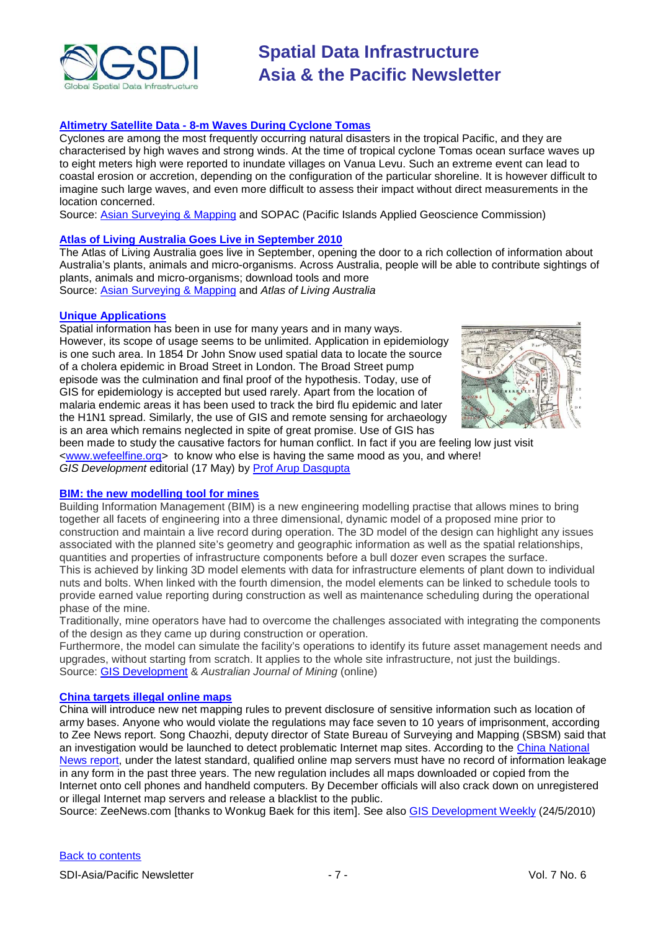

# **Altimetry Satellite Data - [8-m Waves During Cyclone Tomas](http://www.sopac.org/tiki-read_article.php?articleId=213)**

Cyclones are among the most frequently occurring natural disasters in the tropical Pacific, and they are characterised by high waves and strong winds. At the time of tropical cyclone Tomas ocean surface waves up to eight meters high were reported to inundate villages on Vanua Levu. Such an extreme event can lead to coastal erosion or accretion, depending on the configuration of the particular shoreline. It is however difficult to imagine such large waves, and even more difficult to assess their impact without direct measurements in the location concerned.

Source: [Asian Surveying & Mapping](http://asmmag.com/news/altimetry-satellite-data-8-m-waves-during-cyclone-tomas-) and SOPAC (Pacific Islands Applied Geoscience Commission)

# **[Atlas of Living Australia Goes Live in September 2010](http://www.ala.org.au/)**

The Atlas of Living Australia goes live in September, opening the door to a rich collection of information about Australia's plants, animals and micro-organisms. Across Australia, people will be able to contribute sightings of plants, animals and micro-organisms; download tools and more Source: [Asian Surveying & Mapping](http://asmmag.com/news/atlas-of-living-australia-goes-live-in-september-2010) and *Atlas of Living Australia*

# **[Unique Applications](http://www.gisdevelopment.net/ezine/weekly/may1710.htm)**

Spatial information has been in use for many years and in many ways. However, its scope of usage seems to be unlimited. Application in epidemiology is one such area. In 1854 Dr John Snow used spatial data to locate the source of a cholera epidemic in Broad Street in London. The Broad Street pump episode was the culmination and final proof of the hypothesis. Today, use of GIS for epidemiology is accepted but used rarely. Apart from the location of malaria endemic areas it has been used to track the bird flu epidemic and later the H1N1 spread. Similarly, the use of GIS and remote sensing for archaeology is an area which remains neglected in spite of great promise. Use of GIS has



been made to study the causative factors for human conflict. In fact if you are feeling low just visit [<www.wefeelfine.org>](http://www.wefeelfine.org/) to know who else is having the same mood as you, and where! *GIS Development* editorial (17 May) by [Prof Arup Dasgupta](mailto:arup.dasgupta@gisdevelopment.net)

# **[BIM: the new modelling tool for mines](http://www.theajmonline.com.au/mining_news/news/2010/may-jun-print-edition/bim-2013-the-new-modelling-tool-for-mines)**

Building Information Management (BIM) is a new engineering modelling practise that allows mines to bring together all facets of engineering into a three dimensional, dynamic model of a proposed mine prior to construction and maintain a live record during operation. The 3D model of the design can highlight any issues associated with the planned site's geometry and geographic information as well as the spatial relationships, quantities and properties of infrastructure components before a bull dozer even scrapes the surface. This is achieved by linking 3D model elements with data for infrastructure elements of plant down to individual nuts and bolts. When linked with the fourth dimension, the model elements can be linked to schedule tools to provide earned value reporting during construction as well as maintenance scheduling during the operational phase of the mine.

Traditionally, mine operators have had to overcome the challenges associated with integrating the components of the design as they came up during construction or operation.

Furthermore, the model can simulate the facility's operations to identify its future asset management needs and upgrades, without starting from scratch. It applies to the whole site infrastructure, not just the buildings. Source: [GIS Development](http://beta.gisdevelopment.net/index.php?option=com_content&view=article&id=17526%3Abim-the-new-modelling-tool-for-mines&catid=52%3Aapplication-natural-resource-management&Itemid=1) & *Australian Journal of Mining* (online)

# **[China targets illegal online maps](http://www.zeenews.com/news627816.html)**

China will introduce new net mapping rules to prevent disclosure of sensitive information such as location of army bases. Anyone who would violate the regulations may face seven to 10 years of imprisonment, according to Zee News report. Song Chaozhi, deputy director of State Bureau of Surveying and Mapping (SBSM) said that an investigation would be launched to detect problematic Internet map sites. According to the [China National](http://story.chinanationalnews.com/index.php/ct/9/cid/9366300fc9319e9b/id/637032/cs/1/)  [News report,](http://story.chinanationalnews.com/index.php/ct/9/cid/9366300fc9319e9b/id/637032/cs/1/) under the latest standard, qualified online map servers must have no record of information leakage in any form in the past three years. The new regulation includes all maps downloaded or copied from the Internet onto cell phones and handheld computers. By December officials will also crack down on unregistered or illegal Internet map servers and release a blacklist to the public.

Source: ZeeNews.com [thanks to Wonkug Baek for this item]. See also [GIS Development Weekly](http://www.gisdevelopment.net/ezine/weekly/may2410.htm) (24/5/2010)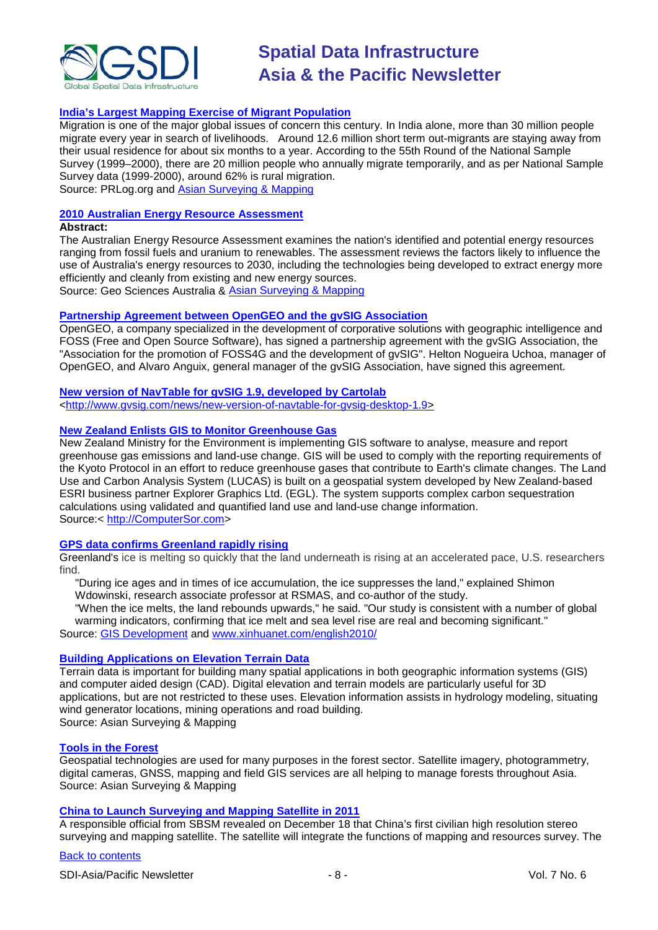

# **[India's Largest Mapping Exercise of Migrant Population](http://www.prlog.org/10693100-aide-et-action-south-asia-launches-indias-largest-mapping-exercise-of-migrant-population-in-ap.html)**

Migration is one of the major global issues of concern this century. In India alone, more than 30 million people migrate every year in search of livelihoods. Around 12.6 million short term out-migrants are staying away from their usual residence for about six months to a year. According to the 55th Round of the National Sample Survey (1999–2000), there are 20 million people who annually migrate temporarily, and as per National Sample Survey data (1999-2000), around 62% is rural migration. Source: PRLog.org and [Asian Surveying & Mapping](http://asmmag.com/news/india-s-largest-mapping-exercise-of-migrant-population-)

# **[2010 Australian Energy Resource Assessment](https://www.ga.gov.au/products/servlet/controller?event=GEOCAT_DETAILS&catno=70142)**

# **Abstract:**

The Australian Energy Resource Assessment examines the nation's identified and potential energy resources ranging from fossil fuels and uranium to renewables. The assessment reviews the factors likely to influence the use of Australia's energy resources to 2030, including the technologies being developed to extract energy more efficiently and cleanly from existing and new energy sources.

Source: Geo Sciences Australia & [Asian Surveying & Mapping](http://asmmag.com/news/2010-australian-energy-resource-assessment)

### **[Partnership Agreement between OpenGEO and the gvSIG Association](http://www.gvsig.com/news/partnership-agreement-between-opengeo-and-the-gvsig-association)**

OpenGEO, a company specialized in the development of corporative solutions with geographic intelligence and FOSS (Free and Open Source Software), has signed a partnership agreement with the gvSIG Association, the "Association for the promotion of FOSS4G and the development of gvSIG". Helton Nogueira Uchoa, manager of OpenGEO, and Alvaro Anguix, general manager of the gvSIG Association, have signed this agreement.

# **[New version of NavTable for gvSIG 1.9, developed by Cartolab](http://navtable.forge.osor.eu/index_en.html)**

[<http://www.gvsig.com/news/new-version-of-navtable-for-gvsig-desktop-1.9>](http://www.gvsig.com/news/new-version-of-navtable-for-gvsig-desktop-1.9)

### **[New Zealand Enlists GIS to](http://computersor.com/space/lion75963c381o/uso9108558756) Monitor Greenhouse Gas**

New Zealand Ministry for the Environment is implementing GIS software to analyse, measure and report greenhouse gas emissions and land-use change. GIS will be used to comply with the reporting requirements of the Kyoto Protocol in an effort to reduce greenhouse gases that contribute to Earth's climate changes. The Land Use and Carbon Analysis System (LUCAS) is built on a geospatial system developed by New Zealand-based ESRI business partner Explorer Graphics Ltd. (EGL). The system supports complex carbon sequestration calculations using validated and quantified land use and land-use change information. Source:< [http://ComputerSor.com>](http://computersor.com/)

### **[GPS data confirms Greenland rapidly rising](http://news.xinhuanet.com/english2010/sci/2010-05/19/c_13302644.htm)**

Greenland's ice is melting so quickly that the land underneath is rising at an accelerated pace, U.S. researchers find.

"During ice ages and in times of ice accumulation, the ice suppresses the land," explained Shimon Wdowinski, research associate professor at RSMAS, and co-author of the study.

"When the ice melts, the land rebounds upwards," he said. "Our study is consistent with a number of global warming indicators, confirming that ice melt and sea level rise are real and becoming significant." Source: [GIS Development](http://beta.gisdevelopment.net/index.php?option=com_content&view=article&id=17590%3Agps-data-confirms-greenland-rapidly-rising&catid=59%3Aapplication-geology&Itemid=1) and [www.xinhuanet.com/english2010/](http://www.xinhuanet.com/english2010/)

# **[Building Applications on Elevation Terrain Data](http://asmmag.com/features/building-applications-on-elevation-terrain-data)**

Terrain data is important for building many spatial applications in both geographic information systems (GIS) and computer aided design (CAD). Digital elevation and terrain models are particularly useful for 3D applications, but are not restricted to these uses. Elevation information assists in hydrology modeling, situating wind generator locations, mining operations and road building. Source: Asian Surveying & Mapping

### **[Tools in the Forest](http://asmmag.com/features/tools-in-the-forest)**

Geospatial technologies are used for many purposes in the forest sector. Satellite imagery, photogrammetry, digital cameras, GNSS, mapping and field GIS services are all helping to manage forests throughout Asia. Source: Asian Surveying & Mapping

# **[China to Launch Surveying and Mapping Satellite in 2011](http://en.sbsm.gov.cn/article/Importantactivity/201001/20100100059695.shtml)**

A responsible official from SBSM revealed on December 18 that China's first civilian high resolution stereo surveying and mapping satellite. The satellite will integrate the functions of mapping and resources survey. The

# [Back to contents](#page-0-0)

SDI-Asia/Pacific Newsletter  $\overline{8}$  - 8 -  $\overline{8}$  -  $\overline{8}$  -  $\overline{8}$  -  $\overline{8}$  -  $\overline{8}$  -  $\overline{8}$  -  $\overline{8}$  -  $\overline{8}$  -  $\overline{8}$  -  $\overline{8}$  -  $\overline{8}$  -  $\overline{8}$  -  $\overline{8}$  -  $\overline{8}$  -  $\overline{8}$  -  $\overline{8}$  -  $\over$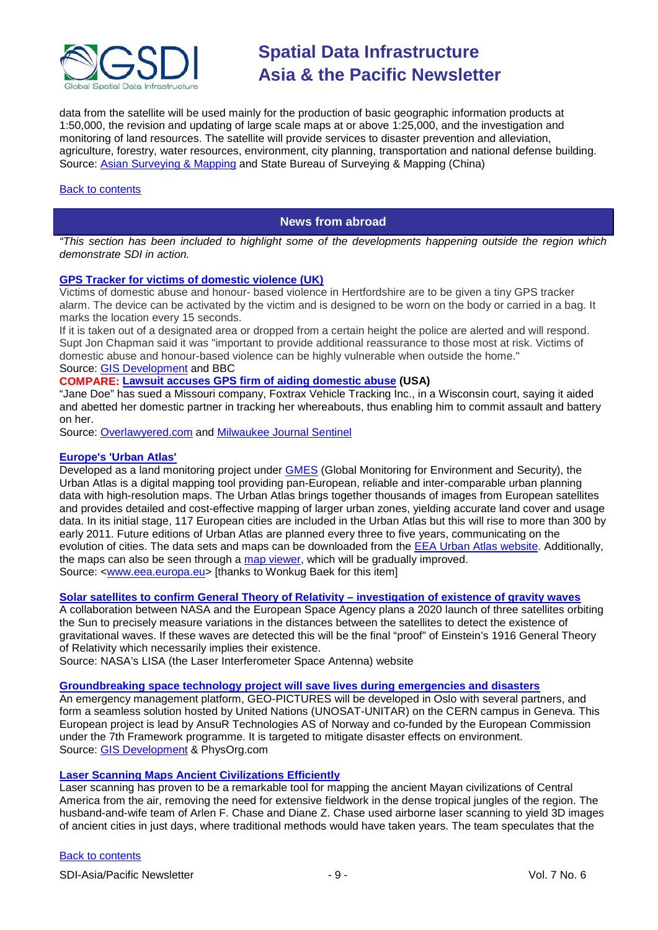

data from the satellite will be used mainly for the production of basic geographic information products at 1:50,000, the revision and updating of large scale maps at or above 1:25,000, and the investigation and monitoring of land resources. The satellite will provide services to disaster prevention and alleviation, agriculture, forestry, water resources, environment, city planning, transportation and national defense building. Source: [Asian Surveying & Mapping](http://asmmag.com/news/china-to-launch-surveying-and-mapping-satellite-in-2011) and State Bureau of Surveying & Mapping (China)

# <span id="page-8-0"></span>[Back to contents](#page-0-0)

# **News from abroad**

*"This section has been included to highlight some of the developments happening outside the region which demonstrate SDI in action.*

# **[GPS Tracker for victims of domestic violence](http://news.bbc.co.uk/2/hi/uk_news/england/beds/bucks/herts/8650879.stm) (UK)**

Victims of domestic abuse and honour- based violence in Hertfordshire are to be given a tiny GPS tracker alarm. The device can be activated by the victim and is designed to be worn on the body or carried in a bag. It marks the location every 15 seconds.

If it is taken out of a designated area or dropped from a certain height the police are alerted and will respond. Supt Jon Chapman said it was "important to provide additional reassurance to those most at risk. Victims of domestic abuse and honour-based violence can be highly vulnerable when outside the home." Source: [GIS Development](http://beta.gisdevelopment.net/index.php?option=com_content&view=article&id=17440%3Ahelp-for-victims-of-domestic-violence&catid=43%3Aproduct-gps&Itemid=1) and BBC

# **COMPARE: [Lawsuit accuses GPS firm of aiding domestic abuse](http://overlawyered.com/2010/05/lawsuit-accuses-gps-firm-of-aiding-domestic-abuse/) (USA)**

"Jane Doe" has sued a Missouri company, Foxtrax Vehicle Tracking Inc., in a Wisconsin court, saying it aided and abetted her domestic partner in tracking her whereabouts, thus enabling him to commit assault and battery on her.

Source: [Overlawyered.com](http://overlawyered.com/) and [Milwaukee Journal Sentinel](http://www.jsonline.com/news/milwaukee/91985944.html)

### **[Europe's 'Urban Atlas'](http://www.eea.europa.eu/highlights/check-out-europe2019s-urban-atlas)**

Developed as a land monitoring project under **GMES** (Global Monitoring for Environment and Security), the Urban Atlas is a digital mapping tool providing pan-European, reliable and inter-comparable urban planning data with high-resolution maps. The Urban Atlas brings together thousands of images from European satellites and provides detailed and cost-effective mapping of larger urban zones, yielding accurate land cover and usage data. In its initial stage, 117 European cities are included in the Urban Atlas but this will rise to more than 300 by early 2011. Future editions of Urban Atlas are planned every three to five years, communicating on the evolution of cities. The data sets and maps can be downloaded from the [EEA Urban Atlas website.](http://www.eea.europa.eu/data-and-maps/data/urban-atlas) Additionally, the maps can also be seen through a [map viewer,](http://dataservice.eea.europa.eu/map/UrbanAtlasBeta/) which will be gradually improved. Source: [<www.eea.europa.eu>](http://www.eea.europa.eu/) [thanks to Wonkug Baek for this item]

# **[Solar satellites to confirm General Theory of Relativity –](http://lisa.nasa.gov/index.html) investigation of existence of gravity waves**

A collaboration between NASA and the European Space Agency plans a 2020 launch of three satellites orbiting the Sun to precisely measure variations in the distances between the satellites to detect the existence of gravitational waves. If these waves are detected this will be the final "proof" of Einstein's 1916 General Theory of Relativity which necessarily implies their existence.

Source: NASA's LISA (the Laser Interferometer Space Antenna) website

# **[Groundbreaking space technology project will save lives during emergencies and disasters](http://www.physorg.com/wire-news/34431815/groundbreaking-space-technology-project-will-save-lives-during-e.html)**

An emergency management platform, GEO-PICTURES will be developed in Oslo with several partners, and form a seamless solution hosted by United Nations (UNOSAT-UNITAR) on the CERN campus in Geneva. This European project is lead by AnsuR Technologies AS of Norway and co-funded by the European Commission under the 7th Framework programme. It is targeted to mitigate disaster effects on environment. Source: [GIS Development](http://beta.gisdevelopment.net/index.php?option=com_content&view=article&id=17475%3Aspace-technology-project-for-disaster-mitigation&catid=53%3Aapplication-natural-hazard-management&Itemid=1) & PhysOrg.com

# **[Laser Scanning Maps Ancient Civilizations Efficiently](http://www.nytimes.com/2010/05/11/science/11maya.html?pagewanted=1)**

Laser scanning has proven to be a remarkable tool for mapping the ancient Mayan civilizations of Central America from the air, removing the need for extensive fieldwork in the dense tropical jungles of the region. The husband-and-wife team of Arlen F. Chase and Diane Z. Chase used airborne laser scanning to yield 3D images of ancient cities in just days, where traditional methods would have taken years. The team speculates that the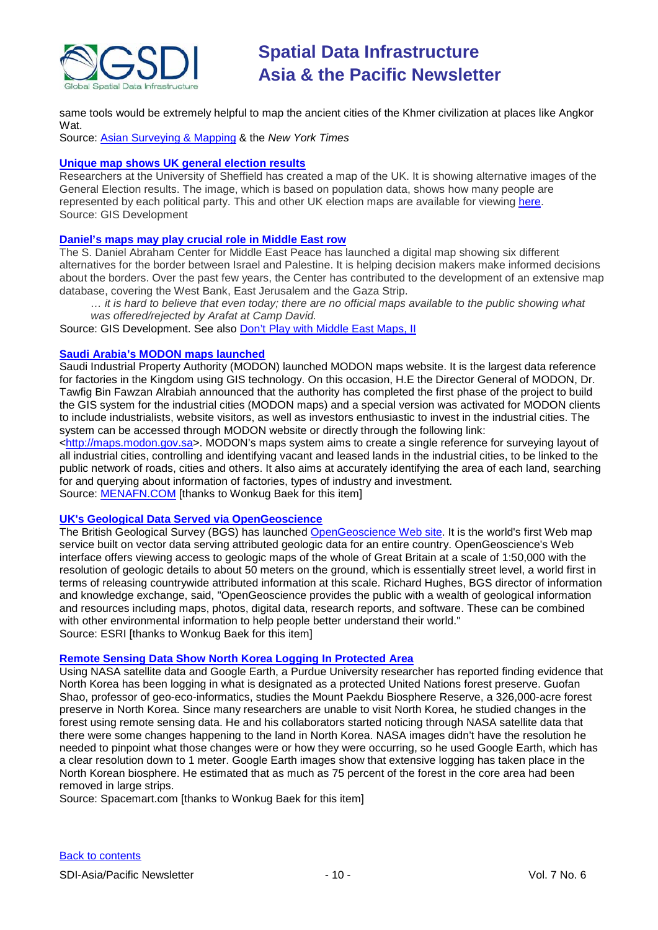

same tools would be extremely helpful to map the ancient cities of the Khmer civilization at places like Angkor Wat.

Source: [Asian Surveying & Mapping](http://asmmag.com/features/laser-scanning-maps-ancient-civilizations-efficiently) & the *New York Times*

# **[Unique map shows UK general election results](http://beta.gisdevelopment.net/index.php?option=com_content&view=article&id=17527%3Aunique-map-shows-general-election-results&catid=48%3Aproduct-cartography-map-publishing&Itemid=1)**

Researchers at the University of Sheffield has created a map of the UK. It is showing alternative images of the General Election results. The image, which is based on population data, shows how many people are represented by each political party. This and other UK election maps are available for viewing [here.](http://benhennig.postgrad.shef.ac.uk/) Source: GIS Development

# **[Daniel's maps may play crucial role in Middle East row](http://beta.gisdevelopment.net/index.php?option=com_content&view=article&id=17530%3Adaniels-maps-may-play-crucial-role-in-middle-east-row&catid=66%3Aapplication-miscellaneous&Itemid=1)**

The S. Daniel Abraham Center for Middle East Peace has launched a digital map showing six different alternatives for the border between Israel and Palestine. It is helping decision makers make informed decisions about the borders. Over the past few years, the Center has contributed to the development of an extensive map database, covering the West Bank, East Jerusalem and the Gaza Strip.

*… it is hard to believe that even today; there are no official maps available to the public showing what was offered/rejected by Arafat at Camp David.*

Source: GIS Development. See also [Don't Play with Middle East Maps, II](http://trueslant.com/eileenread/2010/05/10/dont-play-with-middle-east-maps-ii/)

# **Saudi Arabia's MODON maps launched**

Saudi Industrial Property Authority (MODON) launched MODON maps website. It is the largest data reference for factories in the Kingdom using GIS technology. On this occasion, H.E the Director General of MODON, Dr. Tawfig Bin Fawzan Alrabiah announced that the authority has completed the first phase of the project to build the GIS system for the industrial cities (MODON maps) and a special version was activated for MODON clients to include industrialists, website visitors, as well as investors enthusiastic to invest in the industrial cities. The system can be accessed through MODON website or directly through the following link:

[<http://maps.modon.gov.sa>](http://maps.modon.gov.sa/). MODON's maps system aims to create a single reference for surveying layout of all industrial cities, controlling and identifying vacant and leased lands in the industrial cities, to be linked to the public network of roads, cities and others. It also aims at accurately identifying the area of each land, searching for and querying about information of factories, types of industry and investment. Source: [MENAFN.COM](http://www.menafn.com/qn_news_story_s.asp?storyid=1093336296) [thanks to Wonkug Baek for this item]

# **[UK's Geological Data Served via OpenGeoscience](http://www.esri.com/news/releases/10_2qtr/opengeoscience.html)**

The British Geological Survey (BGS) has launched [OpenGeoscience Web site.](http://www.bgs.ac.uk/opengeoscience/) It is the world's first Web map service built on vector data serving attributed geologic data for an entire country. OpenGeoscience's Web interface offers viewing access to geologic maps of the whole of Great Britain at a scale of 1:50,000 with the resolution of geologic details to about 50 meters on the ground, which is essentially street level, a world first in terms of releasing countrywide attributed information at this scale. Richard Hughes, BGS director of information and knowledge exchange, said, "OpenGeoscience provides the public with a wealth of geological information and resources including maps, photos, digital data, research reports, and software. These can be combined with other environmental information to help people better understand their world." Source: ESRI [thanks to Wonkug Baek for this item]

# **[Remote Sensing Data Show North Korea Logging In Protected Area](http://www.spacemart.com/reports/NASA_Google_Data_Show_North_Korea_Logging_In_Protected_Area_999.html)**

Using NASA satellite data and Google Earth, a Purdue University researcher has reported finding evidence that North Korea has been logging in what is designated as a protected United Nations forest preserve. Guofan Shao, professor of geo-eco-informatics, studies the Mount Paekdu Biosphere Reserve, a 326,000-acre forest preserve in North Korea. Since many researchers are unable to visit North Korea, he studied changes in the forest using remote sensing data. He and his collaborators started noticing through NASA satellite data that there were some changes happening to the land in North Korea. NASA images didn't have the resolution he needed to pinpoint what those changes were or how they were occurring, so he used Google Earth, which has a clear resolution down to 1 meter. Google Earth images show that extensive logging has taken place in the North Korean biosphere. He estimated that as much as 75 percent of the forest in the core area had been removed in large strips.

Source: Spacemart.com [thanks to Wonkug Baek for this item]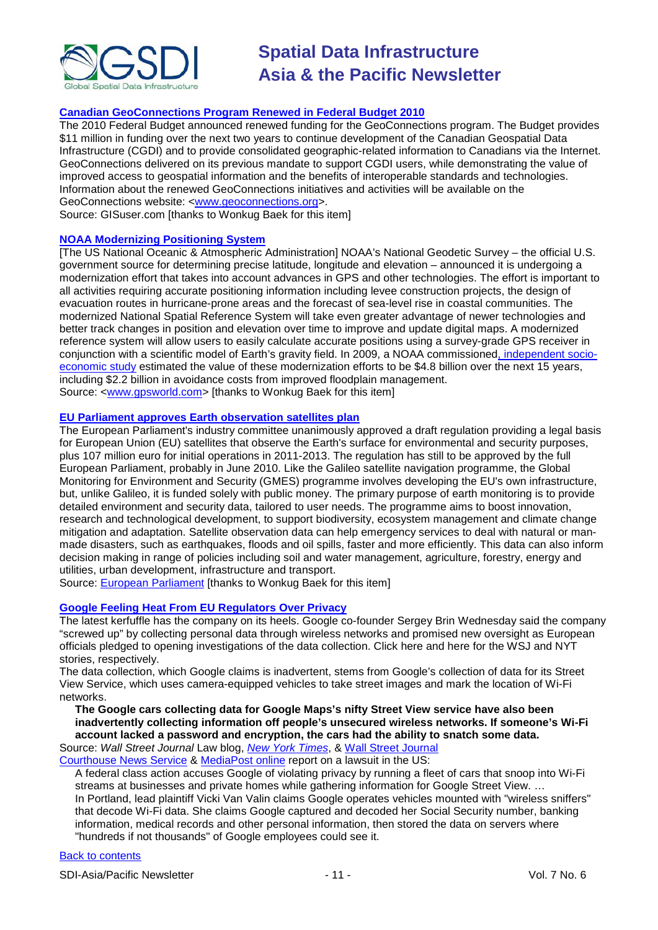

# **[Canadian GeoConnections Program Renewed in Federal Budget 2010](http://www.gisuser.com/content/view/20473/2/)**

The 2010 Federal Budget announced renewed funding for the GeoConnections program. The Budget provides \$11 million in funding over the next two years to continue development of the Canadian Geospatial Data Infrastructure (CGDI) and to provide consolidated geographic-related information to Canadians via the Internet. GeoConnections delivered on its previous mandate to support CGDI users, while demonstrating the value of improved access to geospatial information and the benefits of interoperable standards and technologies. Information about the renewed GeoConnections initiatives and activities will be available on the GeoConnections website: [<www.geoconnections.org>](http://www.geoconnections.org/).

Source: GISuser.com [thanks to Wonkug Baek for this item]

# **[NOAA Modernizing Positioning System](http://www.gpsworld.com/gps/news/noaa-reports-modernizing-positioning-system-vital-9940)**

[The US National Oceanic & Atmospheric Administration] NOAA's National Geodetic Survey – the official U.S. government source for determining precise latitude, longitude and elevation – announced it is undergoing a modernization effort that takes into account advances in GPS and other technologies. The effort is important to all activities requiring accurate positioning information including levee construction projects, the design of evacuation routes in hurricane-prone areas and the forecast of sea-level rise in coastal communities. The modernized National Spatial Reference System will take even greater advantage of newer technologies and better track changes in position and elevation over time to improve and update digital maps. A modernized reference system will allow users to easily calculate accurate positions using a survey-grade GPS receiver in conjunction with a scientific model of Earth's gravity field. In 2009, a NOAA commissione[d, independent socio](http://www.ngs.noaa.gov/PUBS_LIB/Socio-EconomicBenefitsofCORSandGRAV-D.pdf)[economic study](http://www.ngs.noaa.gov/PUBS_LIB/Socio-EconomicBenefitsofCORSandGRAV-D.pdf) estimated the value of these modernization efforts to be \$4.8 billion over the next 15 years, including \$2.2 billion in avoidance costs from improved floodplain management. Source: <www.gpsworld.com> [thanks to Wonkug Baek for this item]

# **[EU Parliament approves Earth observation satellites plan](http://www.europarl.europa.eu/news/expert/infopress_page/052-74365-130-05-20-909-20100510IPR74364-10-05-2010-2010-false/default_en.htm)**

The European Parliament's industry committee unanimously approved a draft regulation providing a legal basis for European Union (EU) satellites that observe the Earth's surface for environmental and security purposes, plus 107 million euro for initial operations in 2011-2013. The regulation has still to be approved by the full European Parliament, probably in June 2010. Like the Galileo satellite navigation programme, the Global Monitoring for Environment and Security (GMES) programme involves developing the EU's own infrastructure, but, unlike Galileo, it is funded solely with public money. The primary purpose of earth monitoring is to provide detailed environment and security data, tailored to user needs. The programme aims to boost innovation, research and technological development, to support biodiversity, ecosystem management and climate change mitigation and adaptation. Satellite observation data can help emergency services to deal with natural or manmade disasters, such as earthquakes, floods and oil spills, faster and more efficiently. This data can also inform decision making in range of policies including soil and water management, agriculture, forestry, energy and utilities, urban development, infrastructure and transport.

Source: [European Parliament](http://www.europarl.europa.eu/news/public/default_en.htm) [thanks to Wonkug Baek for this item]

# **[Google Feeling Heat From EU Regulators Over Privacy](http://blogs.wsj.com/law/2010/05/20/google-feeling-heat-from-eu-regulators-over-privacy/)**

The latest kerfuffle has the company on its heels. Google co-founder Sergey Brin Wednesday said the company "screwed up" by collecting personal data through wireless networks and promised new oversight as European officials pledged to opening investigations of the data collection. Click [here](http://online.wsj.com/article/SB10001424052748703691804575254410223351460.html?KEYWORDS=efrati) and [here](http://www.nytimes.com/2010/05/20/business/global/20google.html?scp=2&sq=google&st=cse) for the WSJ and NYT stories, respectively.

The data collection, which Google claims is inadvertent, stems from Google's collection of data for its Street View Service, which uses camera-equipped vehicles to take street images and mark the location of Wi-Fi networks.

# **The Google cars collecting data for Google Maps's nifty Street View service have also been inadvertently collecting information off people's unsecured wireless networks. If someone's Wi-Fi account lacked a password and encryption, the cars had the ability to snatch some data.**

Source: *Wall Street Journal* Law blog, *[New York Times](http://www.nytimes.com/2010/05/20/business/global/20google.html?scp=2&sq=google&st=cse)*, & [Wall Street Journal](http://online.wsj.com/article/SB10001424052748703691804575254410223351460.html?KEYWORDS=efrati) [Courthouse News Service](http://www.courthousenews.com/2010/05/19/27405.htm) & [MediaPost online](http://www.mediapost.com/publications/?fa=Articles.showArticle&art_aid=128570) report on a lawsuit in the US:

A federal class action accuses Google of violating privacy by running a fleet of cars that snoop into Wi-Fi streams at businesses and private homes while gathering information for Google Street View. … In Portland, lead plaintiff Vicki Van Valin claims Google operates vehicles mounted with "wireless sniffers" that decode Wi-Fi data. She claims Google captured and decoded her Social Security number, banking information, medical records and other personal information, then stored the data on servers where "hundreds if not thousands" of Google employees could see it.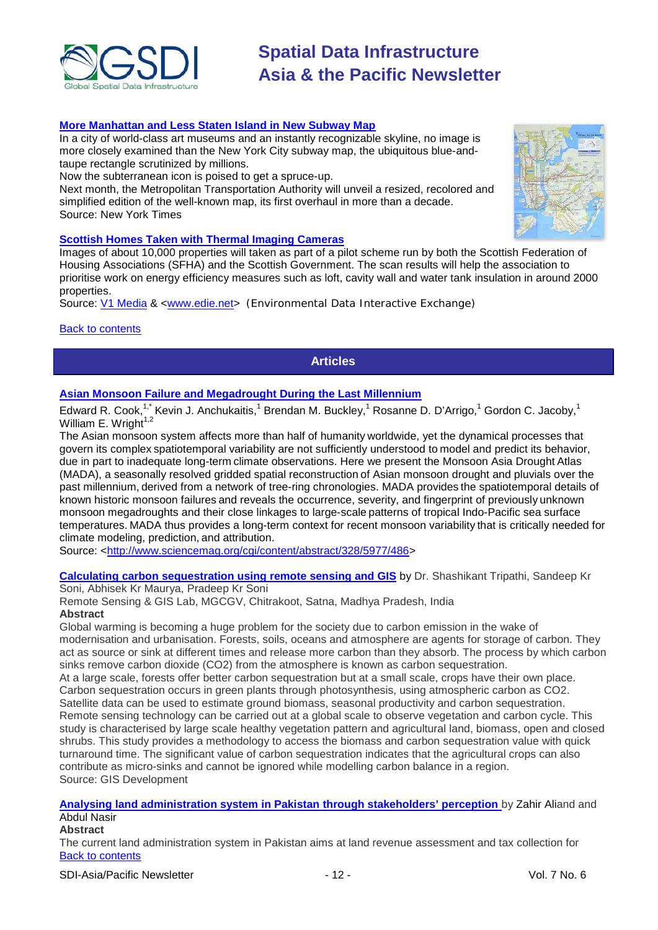

# **[More Manhattan and Less Staten Island in New Subway Map](http://www.nytimes.com/2010/05/28/nyregion/28map.html?hpw)**

In a city of world-class art museums and an instantly recognizable skyline, no image is more closely examined than the New York City subway map, the ubiquitous blue-andtaupe rectangle scrutinized by millions.

Now the subterranean icon is poised to get a spruce-up.

Next month, the [Metropolitan Transportation Authority](http://www.nytimes.com/info/metropolitan-transportation-authority-ny/?inline=nyt-org) will unveil a resized, recolored and simplified edition of the well-known map, its first overhaul in more than a decade. Source: New York Times

# **[Scottish Homes Taken with Thermal Imaging Cameras](http://www.edie.net/news/news_story.asp?id=18176)**

Images of about 10,000 properties will taken as part of a pilot scheme run by both the Scottish Federation of Housing Associations (SFHA) and the Scottish Government. The scan results will help the association to prioritise work on energy efficiency measures such as loft, cavity wall and water tank insulation in around 2000 properties.

Source: [V1 Media](http://www.vector1media.com/resources/toolbox/13204-scottish-homes-taken-with-thermal-imaging-cameras-) & [<www.edie.net>](http://www.edie.net/) (*Environmental Data Interactive Exchange*)

### <span id="page-11-0"></span>[Back to contents](#page-0-0)

# **Articles**

# **[Asian Monsoon Failure and Megadrought During the Last Millennium](http://www.sciencemag.org/cgi/content/abstract/328/5977/486)**

Edward R. Cook, $1$ , Kevin J. Anchukaitis,<sup>1</sup> Brendan M. Buckley,<sup>1</sup> Rosanne D. D'Arrigo,<sup>1</sup> Gordon C. Jacoby,<sup>1</sup> William E. Wright $1,2$ 

The Asian monsoon system affects more than half of humanity worldwide, yet the dynamical processes that govern its complex spatiotemporal variability are not sufficiently understood to model and predict its behavior, due in part to inadequate long-term climate observations. Here we present the Monsoon Asia Drought Atlas (MADA), a seasonally resolved gridded spatial reconstruction of Asian monsoon drought and pluvials over the past millennium, derived from a network of tree-ring chronologies. MADA provides the spatiotemporal details of known historic monsoon failures and reveals the occurrence, severity, and fingerprint of previously unknown monsoon megadroughts and their close linkages to large-scale patterns of tropical Indo-Pacific sea surface temperatures. MADA thus provides a long-term context for recent monsoon variability that is critically needed for climate modeling, prediction, and attribution.

Source: [<http://www.sciencemag.org/cgi/content/abstract/328/5977/486>](http://www.sciencemag.org/cgi/content/abstract/328/5977/486)

# **[Calculating carbon sequestration using remote sensing and GIS](http://beta.gisdevelopment.net/index.php?option=com_content&view=article&id=17442%3Acalculating-carbon-sequestration-using-remote-sensing-and-gis-&catid=87%3Atechnology-remote-sensing&Itemid=50)** by Dr. Shashikant Tripathi, Sandeep Kr

Soni, Abhisek Kr Maurya, Pradeep Kr Soni

Remote Sensing & GIS Lab, MGCGV, Chitrakoot, Satna, Madhya Pradesh, India **Abstract**

Global warming is becoming a huge problem for the society due to carbon emission in the wake of modernisation and urbanisation. Forests, soils, oceans and atmosphere are agents for storage of carbon. They act as source or sink at different times and release more carbon than they absorb. The process by which carbon sinks remove carbon dioxide (CO2) from the atmosphere is known as carbon sequestration.

At a large scale, forests offer better carbon sequestration but at a small scale, crops have their own place. Carbon sequestration occurs in green plants through photosynthesis, using atmospheric carbon as CO2. Satellite data can be used to estimate ground biomass, seasonal productivity and carbon sequestration. Remote sensing technology can be carried out at a global scale to observe vegetation and carbon cycle. This study is characterised by large scale healthy vegetation pattern and agricultural land, biomass, open and closed shrubs. This study provides a methodology to access the biomass and carbon sequestration value with quick turnaround time. The significant value of carbon sequestration indicates that the agricultural crops can also contribute as micro-sinks and cannot be ignored while modelling carbon balance in a region. Source: GIS Development

**[Analysing land administration system in Pakistan through stakeholders' perception](http://beta.gisdevelopment.net/index.php?option=com_content&view=article&id=17501:analysing-land-administration-system-in-pakistan-through-stakeholders-perception&catid=140&Itemid=41)** by Zahir Aliand and Abdul Nasir

### **Abstract**

[Back to contents](#page-0-0) The current land administration system in Pakistan aims at land revenue assessment and tax collection for

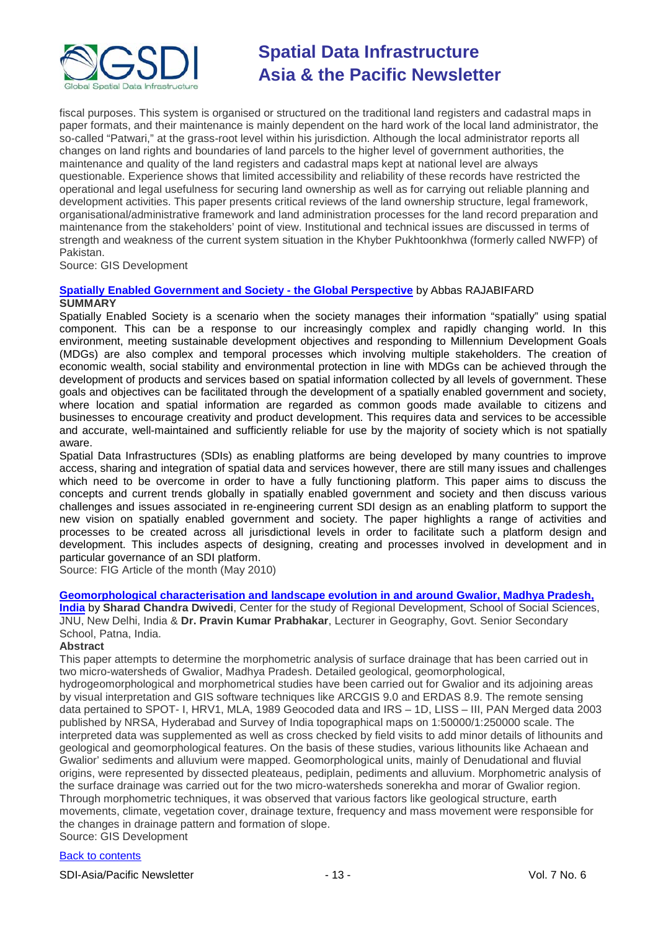

fiscal purposes. This system is organised or structured on the traditional land registers and cadastral maps in paper formats, and their maintenance is mainly dependent on the hard work of the local land administrator, the so-called "Patwari," at the grass-root level within his jurisdiction. Although the local administrator reports all changes on land rights and boundaries of land parcels to the higher level of government authorities, the maintenance and quality of the land registers and cadastral maps kept at national level are always questionable. Experience shows that limited accessibility and reliability of these records have restricted the operational and legal usefulness for securing land ownership as well as for carrying out reliable planning and development activities. This paper presents critical reviews of the land ownership structure, legal framework, organisational/administrative framework and land administration processes for the land record preparation and maintenance from the stakeholders' point of view. Institutional and technical issues are discussed in terms of strength and weakness of the current system situation in the Khyber Pukhtoonkhwa (formerly called NWFP) of Pakistan.

Source: GIS Development

# **[Spatially Enabled Government and Society -](http://www.fig.net/pub/monthly_articles/may_2010/may_2010_rajabifard.html) the Global Perspective** by Abbas RAJABIFARD **SUMMARY**

Spatially Enabled Society is a scenario when the society manages their information "spatially" using spatial component. This can be a response to our increasingly complex and rapidly changing world. In this environment, meeting sustainable development objectives and responding to Millennium Development Goals (MDGs) are also complex and temporal processes which involving multiple stakeholders. The creation of economic wealth, social stability and environmental protection in line with MDGs can be achieved through the development of products and services based on spatial information collected by all levels of government. These goals and objectives can be facilitated through the development of a spatially enabled government and society, where location and spatial information are regarded as common goods made available to citizens and businesses to encourage creativity and product development. This requires data and services to be accessible and accurate, well-maintained and sufficiently reliable for use by the majority of society which is not spatially aware.

Spatial Data Infrastructures (SDIs) as enabling platforms are being developed by many countries to improve access, sharing and integration of spatial data and services however, there are still many issues and challenges which need to be overcome in order to have a fully functioning platform. This paper aims to discuss the concepts and current trends globally in spatially enabled government and society and then discuss various challenges and issues associated in re-engineering current SDI design as an enabling platform to support the new vision on spatially enabled government and society. The paper highlights a range of activities and processes to be created across all jurisdictional levels in order to facilitate such a platform design and development. This includes aspects of designing, creating and processes involved in development and in particular governance of an SDI platform.

Source: FIG Article of the month (May 2010)

# **[Geomorphological characterisation and landscape evolution in and around Gwalior, Madhya Pradesh,](http://beta.gisdevelopment.net/index.php?option=com_content&view=article&id=17561%3Ageomorphological-characterisation-and-landscape-evolution-in-and-around-gwalior-madhya-pradesh-india&catid=134%3Ageology-geomorphology&Itemid=41)**

**[India](http://beta.gisdevelopment.net/index.php?option=com_content&view=article&id=17561%3Ageomorphological-characterisation-and-landscape-evolution-in-and-around-gwalior-madhya-pradesh-india&catid=134%3Ageology-geomorphology&Itemid=41)** by **Sharad Chandra Dwivedi**, Center for the study of Regional Development, School of Social Sciences, JNU, New Delhi, India & **Dr. Pravin Kumar Prabhakar**, Lecturer in Geography, Govt. Senior Secondary School, Patna, India.

# **Abstract**

This paper attempts to determine the morphometric analysis of surface drainage that has been carried out in two micro-watersheds of Gwalior, Madhya Pradesh. Detailed geological, geomorphological, hydrogeomorphological and morphometrical studies have been carried out for Gwalior and its adjoining areas by visual interpretation and GIS software techniques like ARCGIS 9.0 and ERDAS 8.9. The remote sensing data pertained to SPOT- I, HRV1, MLA, 1989 Geocoded data and IRS – 1D, LISS – III, PAN Merged data 2003 published by NRSA, Hyderabad and Survey of India topographical maps on 1:50000/1:250000 scale. The interpreted data was supplemented as well as cross checked by field visits to add minor details of lithounits and geological and geomorphological features. On the basis of these studies, various lithounits like Achaean and Gwalior' sediments and alluvium were mapped. Geomorphological units, mainly of Denudational and fluvial origins, were represented by dissected pleateaus, pediplain, pediments and alluvium. Morphometric analysis of the surface drainage was carried out for the two micro-watersheds sonerekha and morar of Gwalior region. Through morphometric techniques, it was observed that various factors like geological structure, earth movements, climate, vegetation cover, drainage texture, frequency and mass movement were responsible for the changes in drainage pattern and formation of slope. Source: GIS Development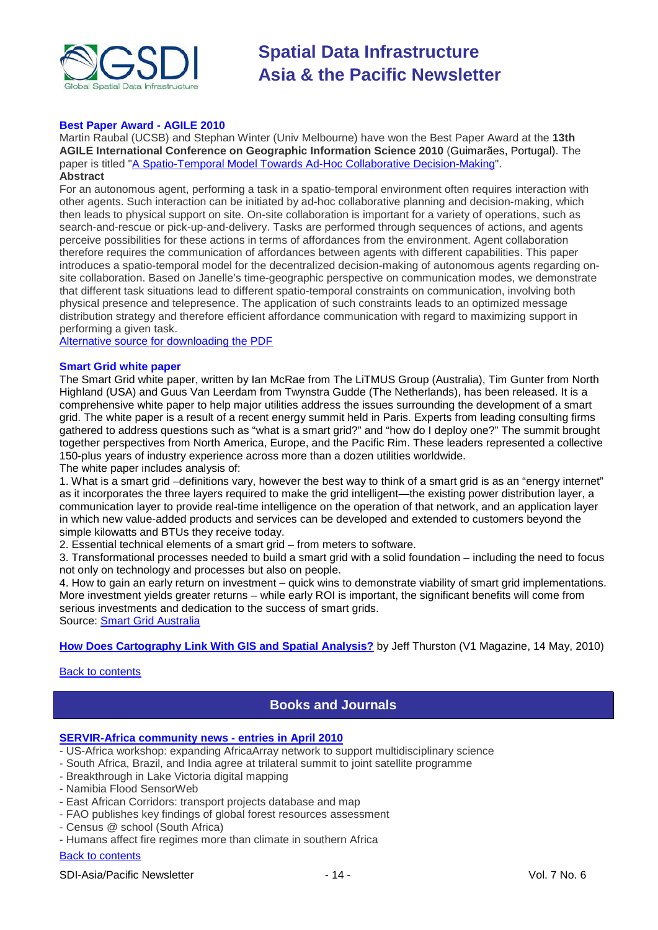

# **Best Paper Award - AGILE 2010**

Martin Raubal (UCSB) and Stephan Winter (Univ Melbourne) have won the Best Paper Award at the **13th AGILE International Conference on Geographic Information Science 2010** (Guimarães, Portugal). The paper is titled ["A Spatio-Temporal Model Towards Ad-Hoc Collaborative Decision-Making"](http://www.geom.unimelb.edu.au/winter/pubs/raubal10spatio.pdf). **Abstract** 

For an autonomous agent, performing a task in a spatio-temporal environment often requires interaction with other agents. Such interaction can be initiated by ad-hoc collaborative planning and decision-making, which then leads to physical support on site. On-site collaboration is important for a variety of operations, such as search-and-rescue or pick-up-and-delivery. Tasks are performed through sequences of actions, and agents perceive possibilities for these actions in terms of affordances from the environment. Agent collaboration therefore requires the communication of affordances between agents with different capabilities. This paper introduces a spatio-temporal model for the decentralized decision-making of autonomous agents regarding onsite collaboration. Based on Janelle's time-geographic perspective on communication modes, we demonstrate that different task situations lead to different spatio-temporal constraints on communication, involving both physical presence and telepresence. The application of such constraints leads to an optimized message distribution strategy and therefore efficient affordance communication with regard to maximizing support in performing a given task.

[Alternative source for downloading the PDF](http://www.geog.ucsb.edu/~raubal/Publications/RefConferences/Raubal&Winter_AGILE10.pdf)

#### **Smart Grid white paper**

The Smart Grid white paper, written by Ian McRae from The LiTMUS Group (Australia), Tim Gunter from North Highland (USA) and Guus Van Leerdam from Twynstra Gudde (The Netherlands), has been released. It is a comprehensive white paper to help major utilities address the issues surrounding the development of a smart grid. The white paper is a result of a recent energy summit held in Paris. Experts from leading consulting firms gathered to address questions such as "what is a smart grid?" and "how do I deploy one?" The summit brought together perspectives from North America, Europe, and the Pacific Rim. These leaders represented a collective 150-plus years of industry experience across more than a dozen utilities worldwide.

The white paper includes analysis of:

1. What is a smart grid –definitions vary, however the best way to think of a smart grid is as an "energy internet" as it incorporates the three layers required to make the grid intelligent—the existing power distribution layer, a communication layer to provide real-time intelligence on the operation of that network, and an application layer in which new value-added products and services can be developed and extended to customers beyond the simple kilowatts and BTUs they receive today.

2. Essential technical elements of a smart grid – from meters to software.

3. Transformational processes needed to build a smart grid with a solid foundation – including the need to focus not only on technology and processes but also on people.

4. How to gain an early return on investment – quick wins to demonstrate viability of smart grid implementations. More investment yields greater returns – while early ROI is important, the significant benefits will come from serious investments and dedication to the success of smart grids. Source: [Smart Grid Australia](http://www.smartgridaustralia.com.au/index.php?mact=News,cntnt01,detail,0&cntnt01articleid=195&cntnt01returnid=15)

**[How Does Cartography Link With GIS and Spatial Analysis?](http://www.vector1media.com/dialogue/perspectives/13038-how-does-cartography-link-with-gis-and-spatial-analysis)** by Jeff Thurston (V1 Magazine, 14 May, 2010)

### <span id="page-13-0"></span>[Back to contents](#page-0-0)

# **Books and Journals**

# **[SERVIR-Africa community](http://www.servir.net/africa/index.php?option=com_mamblog&Itemid=54&task=show&action=all&id=0&ignorecount=1) news - entries in April 2010**

- US-Africa workshop: expanding AfricaArray network to support multidisciplinary science
- South Africa, Brazil, and India agree at trilateral summit to joint satellite programme
- Breakthrough in Lake Victoria digital mapping
- Namibia Flood SensorWeb
- East African Corridors: transport projects database and map
- FAO publishes key findings of global forest resources assessment
- Census @ school (South Africa)
- Humans affect fire regimes more than climate in southern Africa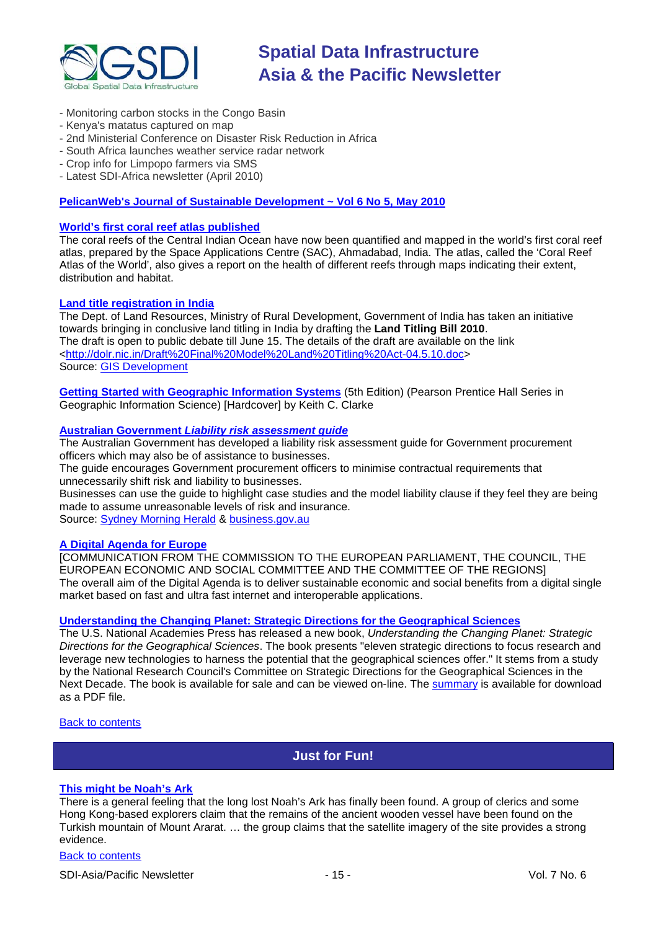

- Monitoring carbon stocks in the Congo Basin
- Kenya's matatus captured on map
- 2nd Ministerial Conference on Disaster Risk Reduction in Africa
- South Africa launches weather service radar network
- Crop info for Limpopo farmers via SMS
- Latest SDI-Africa newsletter (April 2010)

### **[PelicanWeb's Journal of Sustainable Development ~ Vol 6 No 5, May 2010](http://www.pelicanweb.org/solisustv06n05page1.html)**

# **[World's first coral reef atlas published](http://www.dnaindia.com/india/report_gujarat-s-lungs-in-gulf-of-kutch-are-getting-clogged_1374149)**

The coral reefs of the Central Indian Ocean have now been quantified and mapped in the world's first coral reef atlas, prepared by the Space Applications Centre (SAC), Ahmadabad, India. The atlas, called the 'Coral Reef Atlas of the World', also gives a report on the health of different reefs through maps indicating their extent, distribution and habitat.

### **Land title registration in India**

The Dept. of Land Resources, Ministry of Rural Development, Government of India has taken an initiative towards bringing in conclusive land titling in India by drafting the **Land Titling Bill 2010**. The draft is open to public debate till June 15. The details of the draft are available on the link [<http://dolr.nic.in/Draft%20Final%20Model%20Land%20Titling%20Act-04.5.10.doc>](http://dolr.nic.in/Draft%20Final%20Model%20Land%20Titling%20Act-04.5.10.doc) Source: [GIS Development](http://beta.gisdevelopment.net/index.php?option=com_content&view=article&id=17500%3Ast%20%20ep-towards-conclusive-land-titling-in-india-&catid=78%3Amiscellaneous-policy&Itemid=1)

**[Getting Started with Geographic Information Systems](http://www.amazon.com/exec/obidos/ASIN/0131494988/directionsm00-20)** (5th Edition) (Pearson Prentice Hall Series in Geographic Information Science) [Hardcover] by [Keith C. Clarke](http://www.amazon.com/s/ref=ntt_athr_dp_sr_1?_encoding=UTF8&sort=relevancerank&search-alias=books&field-author=Keith%20C.%20Clarke)

# **Australian Government** *[Liability risk assessment guide](http://www.innovation.gov.au/Section/SmallBusiness/Pages/LiabilityRiskAssessmentGuideforFMAActAgencies.aspx)*

The Australian Government has developed a liability risk assessment guide for Government procurement officers which may also be of assistance to businesses.

The guide encourages Government procurement officers to minimise contractual requirements that unnecessarily shift risk and liability to businesses.

Businesses can use the guide to highlight case studies and the model liability clause if they feel they are being made to assume unreasonable levels of risk and insurance.

Source: [Sydney Morning Herald](http://www.smh.com.au/small-business/resources/liability-risk-assessment-guide-20100528-wi3v.html) & [business.gov.au](http://business.gov.au/Pages/default.aspx)

# **[A Digital Agenda for Europe](http://ec.europa.eu/information_society/digital-agenda/documents/digital-agenda-communication-en.pdf)**

[COMMUNICATION FROM THE COMMISSION TO THE EUROPEAN PARLIAMENT, THE COUNCIL, THE EUROPEAN ECONOMIC AND SOCIAL COMMITTEE AND THE COMMITTEE OF THE REGIONS] The overall aim of the Digital Agenda is to deliver sustainable economic and social benefits from a digital single market based on fast and ultra fast internet and interoperable applications.

### **[Understanding the Changing Planet: Strategic Directions for the Geographical Sciences](http://www.nap.edu/catalog.php?record_id=12860#description)**

The U.S. National Academies Press has released a new book, *Understanding the Changing Planet: Strategic Directions for the Geographical Sciences*. The book presents "eleven strategic directions to focus research and leverage new technologies to harness the potential that the geographical sciences offer." It stems from a study by the National Research Council's Committee on Strategic Directions for the Geographical Sciences in the Next Decade. The book is available for sale and can be viewed on-line. The [summary](http://www.nap.edu/nap-cgi/report.cgi?record_id=12860&type=pdfxsum) is available for download as a PDF file.

#### <span id="page-14-0"></span>[Back to contents](#page-0-0)

# **Just for Fun!**

### **[This might be Noah's Ark](http://www.dailymail.co.uk/news/worldnews/article-1269165/Noahs-Ark-remains-discovered-mountain-Turkey.html)**

There is a general feeling that the long lost Noah's Ark has finally been found. A group of clerics and some Hong Kong-based explorers claim that the remains of the ancient wooden vessel have been found on the Turkish mountain of Mount Ararat. … the group claims that the satellite imagery of the site provides a strong evidence.

# [Back to contents](#page-0-0)

SDI-Asia/Pacific Newsletter  $\sim$  15 - 15 - Vol. 7 No. 6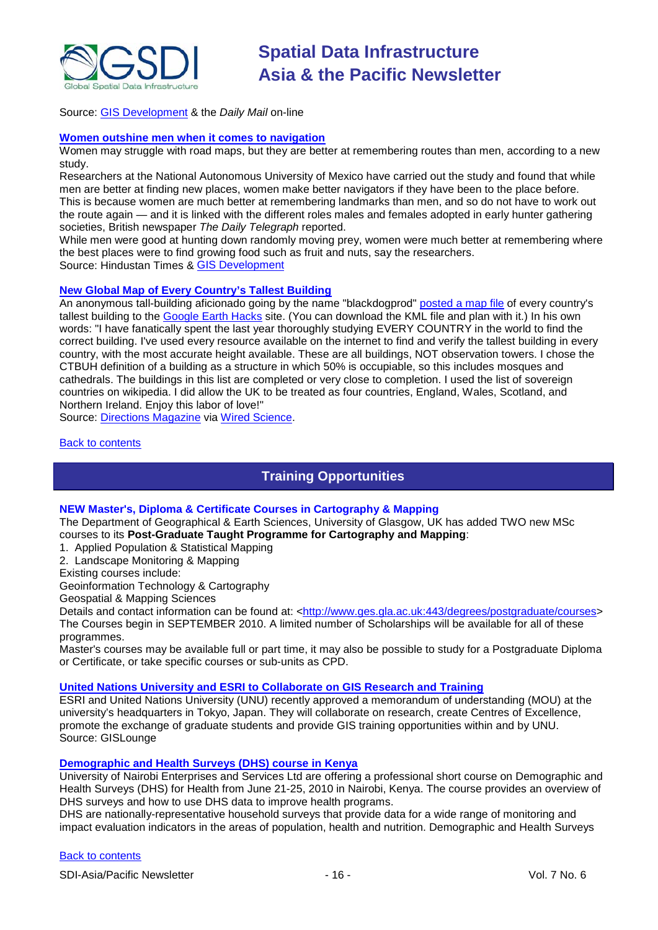

# Source: [GIS Development](http://beta.gisdevelopment.net/index.php?option=com_content&view=article&id=17438%3Athis-might-be-noahs-ark&catid=44%3Aproduct-satellite-imagery&Itemid=1) & the *Daily Mail* on-line

#### **[Women outshine men when it comes to navigation](http://www.hindustantimes.com/News-Feed/europe/Women-better-navigators-than-men/Article1-539019.aspx)**

Women may struggle with road maps, but they are better at remembering routes than men, according to a new study.

Researchers at the National Autonomous University of Mexico have carried out the study and found that while men are better at finding new places, women make better navigators if they have been to the place before. This is because women are much better at remembering landmarks than men, and so do not have to work out the route again — and it is linked with the different roles males and females adopted in early hunter gathering societies, British newspaper *The Daily Telegraph* reported.

While men were good at hunting down randomly moving prey, women were much better at remembering where the best places were to find growing food such as fruit and nuts, say the researchers. Source: Hindustan Times & [GIS Development](http://beta.gisdevelopment.net/index.php?option=com_content&view=article&id=17458%3Awomen-outshine-men-when-it-comes-to-navigation&catid=74%3Amiscellaneous-research&Itemid=1)

### **[New Global Map of Every Country's Tallest Building](http://www.wired.com/wiredscience/2010/05/global-map-of-tallest-buildings/)**

An anonymous tall-building aficionado going by the name "blackdogprod" [posted a map file](http://www.gearthhacks.com/dlfile34593/The-tallest-building-in-every-country.htm) of every country's tallest building to the [Google Earth Hacks](http://www.gearthhacks.com/) site. (You can download the KML file and plan with it.) In his own words: "I have fanatically spent the last year thoroughly studying EVERY COUNTRY in the world to find the correct building. I've used every resource available on the internet to find and verify the tallest building in every country, with the most accurate height available. These are all buildings, NOT observation towers. I chose the CTBUH definition of a building as a structure in which 50% is occupiable, so this includes mosques and cathedrals. The buildings in this list are completed or very close to completion. I used the list of sovereign countries on wikipedia. I did allow the UK to be treated as four countries, England, Wales, Scotland, and Northern Ireland. Enjoy this labor of love!"

Source: [Directions Magazine](http://www.directionsmedia.net/newsletters.archive/index.php?ID=1663) via [Wired Science.](http://www.wired.com/wiredscience/2010/05/global-map-of-tallest-buildings/)

### <span id="page-15-0"></span>[Back to contents](#page-0-0)

# **Training Opportunities**

### **NEW Master's, Diploma & Certificate Courses in Cartography & Mapping**

The Department of Geographical & Earth Sciences, University of Glasgow, UK has added TWO new MSc courses to its **Post-Graduate Taught Programme for Cartography and Mapping**:

- 1. Applied Population & Statistical Mapping
- 2. Landscape Monitoring & Mapping
- Existing courses include:

Geoinformation Technology & Cartography

Geospatial & Mapping Sciences

Details and contact information can be found at: [<http://www.ges.gla.ac.uk:443/degrees/postgraduate/courses>](http://www.ges.gla.ac.uk:443/degrees/postgraduate/courses) The Courses begin in SEPTEMBER 2010. A limited number of Scholarships will be available for all of these programmes.

Master's courses may be available full or part time, it may also be possible to study for a Postgraduate Diploma or Certificate, or take specific courses or sub-units as CPD.

### **[United Nations University and ESRI to Collaborate on GIS Research and Training](http://news.gislounge.com/2010/02/united-nations-university-and-esri-to-collaborate-on-gis-research-and-training/?utm_source=feedburner&utm_medium=feed&utm_campaign=Feed%3A+GeospatialPressReleases+%28Geospatial+Press+Releases%29)**

ESRI and United Nations University (UNU) recently approved a memorandum of understanding (MOU) at the university's headquarters in Tokyo, Japan. They will collaborate on research, create Centres of Excellence, promote the exchange of graduate students and provide GIS training opportunities within and by UNU. Source: GISLounge

### **[Demographic and Health Surveys \(DHS\) course in Kenya](http://www.measuredhs.com/wn1/reports/Demographic%20health%20surveys_final%20flyer.pdf)**

University of Nairobi Enterprises and Services Ltd are offering a professional short course on Demographic and Health Surveys (DHS) for Health from June 21-25, 2010 in Nairobi, Kenya. The course provides an overview of DHS surveys and how to use DHS data to improve health programs.

DHS are nationally-representative household surveys that provide data for a wide range of monitoring and impact evaluation indicators in the areas of population, health and nutrition. Demographic and Health Surveys

# [Back to contents](#page-0-0)

SDI-Asia/Pacific Newsletter  $\sim$  16 - 16 - Vol. 7 No. 6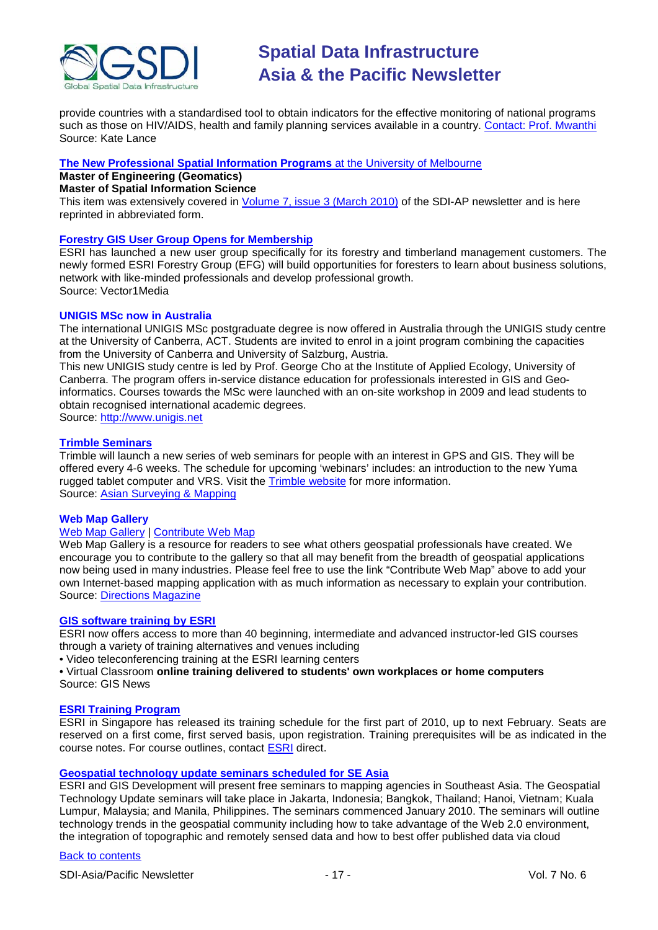

provide countries with a standardised tool to obtain indicators for the effective monitoring of national programs such as those on HIV/AIDS, health and family planning services available in a country. [Contact: Prof. Mwanthi](mailto:mmwanthi@uonbi.ac.ke) Source: Kate Lance

# **[The New Professional Spatial Information Programs](http://www.geom.unimelb.edu.au/future/masters.html)** at the [University of Melbourne](http://www.unimelb.edu.au/)

**Master of Engineering (Geomatics)**

**Master of Spatial Information Science**

This item was extensively covered in [Volume 7, issue 3 \(March 2010\)](http://portal.gsdi.org/files/?artifact_id=688) of the SDI-AP newsletter and is here reprinted in abbreviated form.

# **[Forestry GIS User Group Opens for Membership](http://www.vector1media.com/news/top-stories/53-corporate-news/8187-forestry-gis-user-group-opens-for-membership)**

ESRI has launched a new user group specifically for its forestry and timberland management customers. The newly formed ESRI Forestry Group (EFG) will build opportunities for foresters to learn about business solutions, network with like-minded professionals and develop professional growth. Source: Vector1Media

### **UNIGIS MSc now in Australia**

The international UNIGIS MSc postgraduate degree is now offered in Australia through the UNIGIS study centre at the University of Canberra, ACT. Students are invited to enrol in a joint program combining the capacities from the University of Canberra and University of Salzburg, Austria.

This new UNIGIS study centre is led by Prof. George Cho at the Institute of Applied Ecology, University of Canberra. The program offers in-service distance education for professionals interested in GIS and Geoinformatics. Courses towards the MSc were launched with an on-site workshop in 2009 and lead students to obtain recognised international academic degrees.

Source: [http://www.unigis.net](http://www.unigis.net/)

### **[Trimble Seminars](http://www.trimble.com/mgis/webinars.shtml)**

Trimble will launch a new series of web seminars for people with an interest in GPS and GIS. They will be offered every 4-6 weeks. The schedule for upcoming 'webinars' includes: an introduction to the new Yuma rugged tablet computer and VRS. Visit the [Trimble website](http://www.trimble.com/mgis/webinars.shtml) for more information. Source: [Asian Surveying & Mapping](http://www.asmmag.com/news)

### **Web Map Gallery**

# [Web Map Gallery](http://www.directionsmag.com/webmapgallery/) | [Contribute Web Map](http://www.directionsmag.com/webmapgallery/?duty=Contribute)

Web Map Gallery is a resource for readers to see what others geospatial professionals have created. We encourage you to contribute to the gallery so that all may benefit from the breadth of geospatial applications now being used in many industries. Please feel free to use the link "Contribute Web Map" above to add your own Internet-based mapping application with as much information as necessary to explain your contribution. Source: [Directions Magazine](http://www.directionsmag.com/webmapgallery/)

# **[GIS software training by ESRI](http://training.esri.com/gateway/index.cfm?fa=trainingOptions.gateway)**

ESRI now offers access to more than 40 beginning, intermediate and advanced instructor-led GIS courses through a variety of training alternatives and venues including

• Video teleconferencing training at the ESRI learning centers

• Virtual Classroom **online training delivered to students' own workplaces or home computers** Source: GIS News

### **[ESRI Training Program](http://www.esrisingapore.com.sg/training.html)**

ESRI in Singapore has released its training schedule for the first part of 2010, up to next February. Seats are reserved on a first come, first served basis, upon registration. Training prerequisites will be as indicated in the course notes. For course outlines, contact [ESRI](mailto:training@esrisa.com) direct.

### **[Geospatial technology update seminars scheduled for SE Asia](http://www.esri.com/news/releases/10_1qtr/geo-tech.html)**

ESRI and GIS Development will present free seminars to mapping agencies in Southeast Asia. The Geospatial Technology Update seminars will take place in Jakarta, Indonesia; Bangkok, Thailand; Hanoi, Vietnam; Kuala Lumpur, Malaysia; and Manila, Philippines. The seminars commenced January 2010. The seminars will outline technology trends in the geospatial community including how to take advantage of the Web 2.0 environment, the integration of topographic and remotely sensed data and how to best offer published data via cloud

# [Back to contents](#page-0-0)

SDI-Asia/Pacific Newsletter  $17 - 17 - 17$  - Vol. 7 No. 6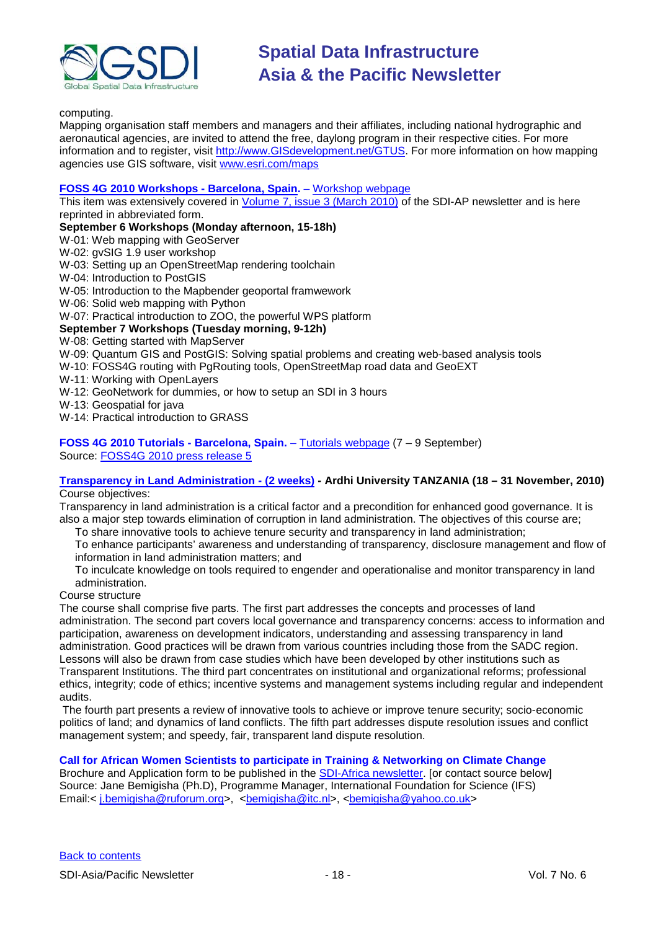

computing.

Mapping organisation staff members and managers and their affiliates, including national hydrographic and aeronautical agencies, are invited to attend the free, daylong program in their respective cities. For more information and to register, visit [http://www.GISdevelopment.net/GTUS.](http://www.gisdevelopment.net/GTUS) For more information on how mapping agencies use GIS software, visit [www.esri.com/maps](http://www.esri.com/maps)

# **[FOSS 4G 2010 Workshops -](http://2010.foss4g.org/) Barcelona, Spain.** – [Workshop webpage](http://2010.foss4g.org/workshop02.php)

This item was extensively covered in [Volume 7, issue 3 \(March 2010\)](http://portal.gsdi.org/files/?artifact_id=688) of the SDI-AP newsletter and is here reprinted in abbreviated form.

# **September 6 Workshops (Monday afternoon, 15-18h)**

- W-01: Web mapping with GeoServer
- W-02: gvSIG 1.9 user workshop
- W-03: Setting up an OpenStreetMap rendering toolchain
- W-04: Introduction to PostGIS
- W-05: Introduction to the Mapbender geoportal framwework
- W-06: Solid web mapping with Python
- W-07: Practical introduction to ZOO, the powerful WPS platform

# **September 7 Workshops (Tuesday morning, 9-12h)**

# W-08: Getting started with MapServer

W-09: Quantum GIS and PostGIS: Solving spatial problems and creating web-based analysis tools

- W-10: FOSS4G routing with PgRouting tools, OpenStreetMap road data and GeoEXT
- W-11: Working with OpenLayers
- W-12: GeoNetwork for dummies, or how to setup an SDI in 3 hours
- W-13: Geospatial for java
- W-14: Practical introduction to GRASS

**FOSS 4G 2010 Tutorials - Barcelona, Spain.** – [Tutorials webpage](http://2010.foss4g.org/tutorial01.php) (7 – 9 September) Source: FOSS4G [2010 press release 5](http://wiki.osgeo.org/wiki/FOSS4G_2010_Press_Release_5)

#### **[Transparency in Land Administration -](http://www.aru.ac.tz/page.php?id=136) (2 weeks) - Ardhi University TANZANIA (18 – 31 November, 2010)** Course objectives:

Transparency in land administration is a critical factor and a precondition for enhanced good governance. It is also a major step towards elimination of corruption in land administration. The objectives of this course are;

To share innovative tools to achieve tenure security and transparency in land administration;

To enhance participants' awareness and understanding of transparency, disclosure management and flow of information in land administration matters; and

To inculcate knowledge on tools required to engender and operationalise and monitor transparency in land administration.

### Course structure

The course shall comprise five parts. The first part addresses the concepts and processes of land administration. The second part covers local governance and transparency concerns: access to information and participation, awareness on development indicators, understanding and assessing transparency in land administration. Good practices will be drawn from various countries including those from the SADC region. Lessons will also be drawn from case studies which have been developed by other institutions such as Transparent Institutions. The third part concentrates on institutional and organizational reforms; professional ethics, integrity; code of ethics; incentive systems and management systems including regular and independent audits.

The fourth part presents a review of innovative tools to achieve or improve tenure security; socio-economic politics of land; and dynamics of land conflicts. The fifth part addresses dispute resolution issues and conflict management system; and speedy, fair, transparent land dispute resolution.

# **Call for African Women Scientists to participate in Training & Networking on Climate Change**

Brochure and Application form to be published in the **SDI-Africa newsletter**. [or contact source below] Source: Jane Bemigisha (Ph.D), Programme Manager, International Foundation for Science (IFS) Email:< [j.bemigisha@ruforum.org>](mailto:j.bemigisha@ruforum.org), <br/>>bemigisha@itc.nl>, <br/> <br/>
<br/>sha@yahoo.co.uk>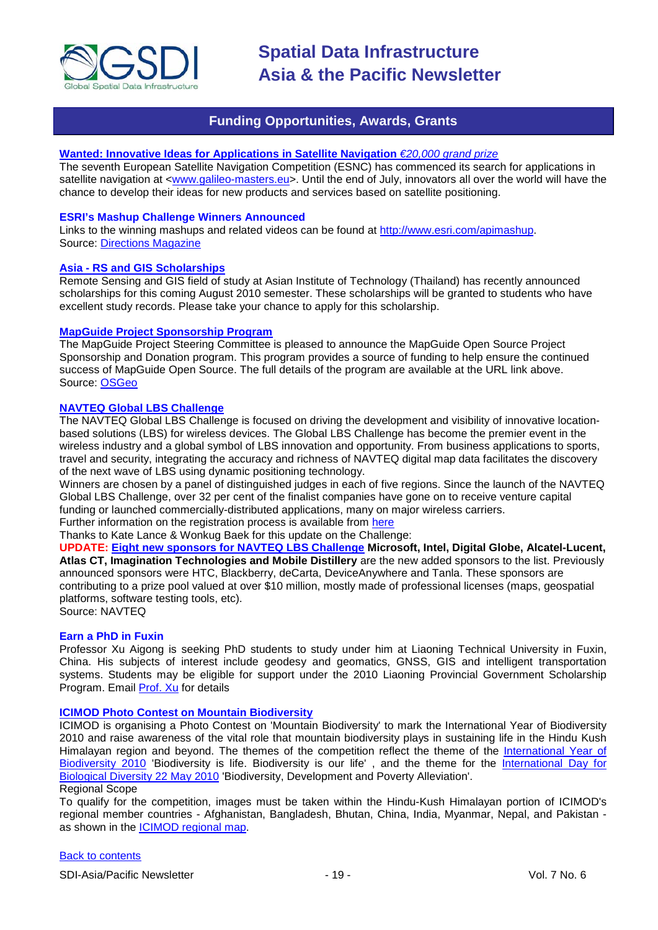

# **Funding Opportunities, Awards, Grants**

#### <span id="page-18-0"></span>**Wanted: Innovative [Ideas for Applications in Satellite Navigation](http://www.galileo-masters.eu/index.php?kat=press.html&anzeige=press27.html)** *€20,000 grand prize*

The seventh European Satellite Navigation Competition (ESNC) has commenced its search for applications in satellite navigation at [<www.galileo-masters.eu>](http://www.galileo-masters.eu/). Until the end of July, innovators all over the world will have the chance to develop their ideas for new products and services based on satellite positioning.

#### **ESRI's Mashup Challenge Winners Announced**

Links to the winning mashups and related videos can be found at [http://www.esri.com/apimashup.](http://www.esri.com/software/mapping_for_everyone/api/mashup.html) Source: [Directions Magazine](http://www.directionsmag.com/press.releases/?duty=Show&id=45995)

#### **Asia - [RS and GIS Scholarships](http://www.ait.ac.th/AIT/admissions/Current_Scholarships)**

Remote Sensing and GIS field of study at Asian Institute of Technology (Thailand) has recently announced scholarships for this coming August 2010 semester. These scholarships will be granted to students who have excellent study records. Please take your chance to apply for this scholarship.

### **[MapGuide Project Sponsorship Program](http://mapguide.osgeo.org/sponsorship)**

The MapGuide Project Steering Committee is pleased to announce the MapGuide Open Source Project Sponsorship and Donation program. This program provides a source of funding to help ensure the continued success of MapGuide Open Source. The full details of the program are available at the URL link above. Source: [OSGeo](http://www.osgeo.org/node/978)

# **[NAVTEQ Global LBS](http://developer.navteq.com/site/global/market/lbs_challenge/p_lbs_home.jsp) Challenge**

The NAVTEQ Global LBS Challenge is focused on driving the development and visibility of innovative locationbased solutions (LBS) for wireless devices. The Global LBS Challenge has become the premier event in the wireless industry and a global symbol of LBS innovation and opportunity. From business applications to sports, travel and security, integrating the accuracy and richness of NAVTEQ digital map data facilitates the discovery of the next wave of LBS using dynamic positioning technology.

Winners are chosen by a panel of distinguished judges in each of five regions. Since the launch of the NAVTEQ Global LBS Challenge, over 32 per cent of the finalist companies have gone on to receive venture capital funding or launched commercially-distributed applications, many on major wireless carriers.

Further information on the registration process is available from [here](http://developer.navteq.com/site/global/market/lbs_challenge/p_lbs_home.jsp) Thanks to Kate Lance & Wonkug Baek for this update on the Challenge:

**UPDATE: [Eight new sponsors for NAVTEQ LBS Challenge](http://corporate.navteq.com/webapps/NewsUserServlet?action=NewsDetail&newsId=824&lang=en&englishonly=false) Microsoft, Intel, Digital Globe, Alcatel-Lucent, Atlas CT, Imagination Technologies and Mobile Distillery** are the new added sponsors to the list. Previously announced sponsors were HTC, Blackberry, deCarta, DeviceAnywhere and Tanla. These sponsors are contributing to a prize pool valued at over \$10 million, mostly made of professional licenses (maps, geospatial platforms, software testing tools, etc).

Source: NAVTEQ

### **Earn a PhD in Fuxin**

Professor Xu Aigong is seeking PhD students to study under him at Liaoning Technical University in Fuxin, China. His subjects of interest include geodesy and geomatics, GNSS, GIS and intelligent transportation systems. Students may be eligible for support under the 2010 Liaoning Provincial Government Scholarship Program. Email [Prof. Xu](mailto:%22xu_ag@126.com%22) for details

### **[ICIMOD Photo Contest on Mountain Biodiversity](http://www.icimod.org/photocontest/2010/page/about)**

ICIMOD is organising a Photo Contest on 'Mountain Biodiversity' to mark the International Year of Biodiversity 2010 and raise awareness of the vital role that mountain biodiversity plays in sustaining life in the Hindu Kush Himalayan region and beyond. The themes of the competition reflect the theme of the [International Year of](http://www.cbd.int/2010/welcome/)  [Biodiversity 2010](http://www.cbd.int/2010/welcome/) 'Biodiversity is life. Biodiversity is our life', and the theme for the International Day for [Biological Diversity 22 May 2010](http://www.cbd.int/idb/2010/) 'Biodiversity, Development and Poverty Alleviation'.

# Regional Scope

To qualify for the competition, images must be taken within the Hindu-Kush Himalayan portion of ICIMOD's regional member countries - Afghanistan, Bangladesh, Bhutan, China, India, Myanmar, Nepal, and Pakistan as shown in the [ICIMOD regional](http://www.icimod.org/index.php?page=43) map.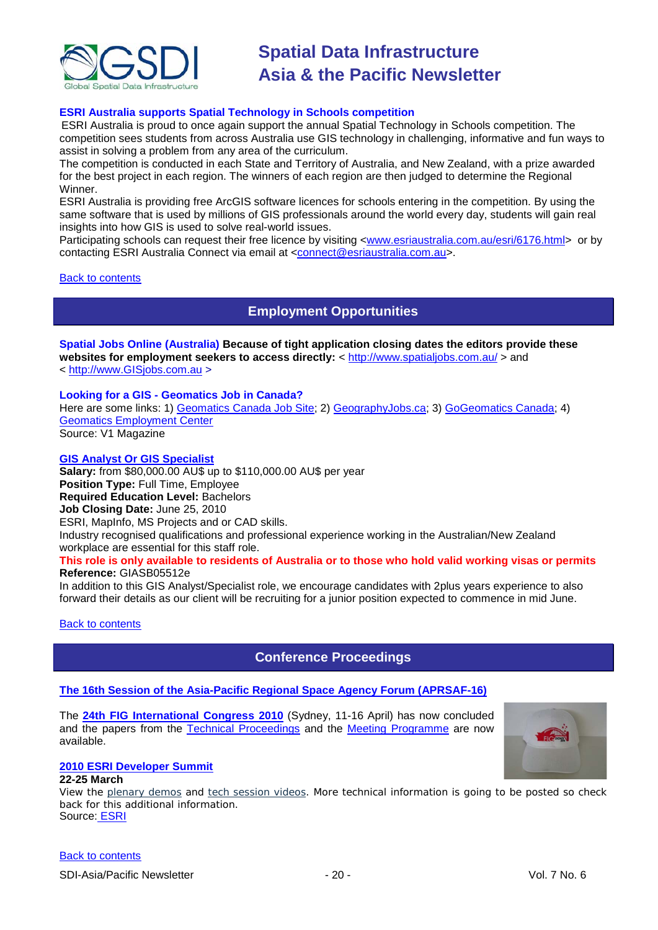

# **ESRI Australia supports Spatial Technology in Schools competition**

ESRI Australia is proud to once again support the annual Spatial Technology in Schools competition. The competition sees students from across Australia use GIS technology in challenging, informative and fun ways to assist in solving a problem from any area of the curriculum.

The competition is conducted in each State and Territory of Australia, and New Zealand, with a prize awarded for the best project in each region. The winners of each region are then judged to determine the Regional Winner.

ESRI Australia is providing free ArcGIS software licences for schools entering in the competition. By using the same software that is used by millions of GIS professionals around the world every day, students will gain real insights into how GIS is used to solve real-world issues.

Participating schools can request their free licence by visiting [<www.esriaustralia.com.au/esri/6176.html>](http://www.esriaustralia.com.au/esri/6176.html) or by contacting ESRI Australia Connect via email at [<connect@esriaustralia.com.au>](mailto:connect@esriaustralia.com.au).

### <span id="page-19-0"></span>[Back to contents](#page-0-0)

# **Employment Opportunities**

**Spatial Jobs Online (Australia) Because of tight application closing dates the editors provide these**  websites for employment seekers to access directly: <<http://www.spatialjobs.com.au/> > and < [http://www.GISjobs.com.au](http://www.gisjobs.com.au/) >

# **Looking for a GIS - Geomatics Job in Canada?**

Here are some links: 1) [Geomatics Canada Job Site;](http://geomaticscanada.com/jobs.cfm) 2) [GeographyJobs.ca;](http://www.geographyjobs.ca/) 3) [GoGeomatics Canada;](http://canada.gogeomatics.net/frmHome.aspx) 4) [Geomatics Employment Center](http://gisjobs.ca/) Source: V1 Magazine

# **[GIS Analyst Or GIS Specialist](http://www.spatialjobs.com.au/view_job.php?jobs_id=1766)**

**Salary:** from \$80,000.00 AU\$ up to \$110,000.00 AU\$ per year **Position Type:** Full Time, Employee **Required Education Level:** Bachelors **Job Closing Date:** June 25, 2010 ESRI, MapInfo, MS Projects and or CAD skills. Industry recognised qualifications and professional experience working in the Australian/New Zealand workplace are essential for this staff role.

### **This role is only available to residents of Australia or to those who hold valid working visas or permits Reference:** GIASB05512e

In addition to this GIS Analyst/Specialist role, we encourage candidates with 2plus years experience to also forward their details as our client will be recruiting for a junior position expected to commence in mid June.

<span id="page-19-1"></span>[Back to contents](#page-0-0)

# **Conference Proceedings**

### **[The 16th Session of the Asia-Pacific Regional Space Agency Forum \(APRSAF-16\)](http://www.aprsaf.org/feature/feature_109.html)**

The **[24th FIG International Congress 2010](http://www.fig2010.com/)** (Sydney, 11-16 April) has now concluded and the papers from the [Technical Proceedings](http://www.fig.net/pub/fig2010/techprog.htm) and the [Meeting Programme](http://www.fig.net/pub/fig2010/meetprog.htm) are now available.



# **22-25 March**

View the [plenary demos](http://www.esri.com/events/devsummit/videos/index.html) and [tech session videos.](http://www.esri.com/events/devsummit/tech-session-videos/index.html) More technical information is going to be posted so check back for this additional information. Source: [ESRI](http://www.esri.com/events/devsummit/index.html)

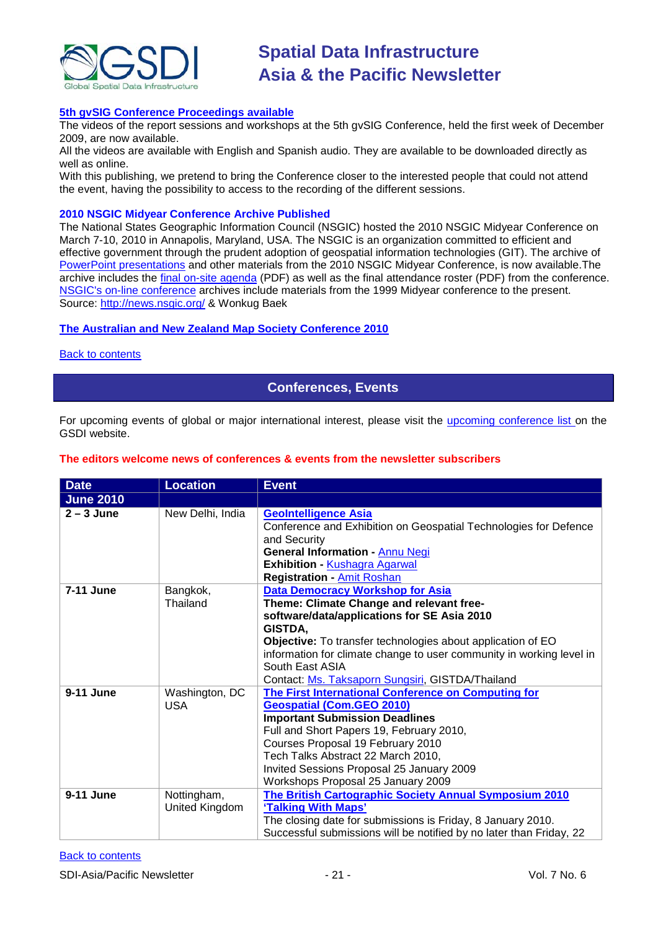

# **[5th gvSIG Conference Proceedings available](http://jornadas.gvsig.org/comunicaciones/reports)**

The videos of the report sessions and workshops at the 5th gvSIG Conference, held the first week of December 2009, are now available.

All the videos are available with English and Spanish audio. They are available to be downloaded directly as well as online.

With this publishing, we pretend to bring the Conference closer to the interested people that could not attend the event, having the possibility to access to the recording of the different sessions.

#### **2010 NSGIC Midyear Conference Archive Published**

The National States Geographic Information Council (NSGIC) hosted the 2010 NSGIC Midyear Conference on March 7-10, 2010 in Annapolis, Maryland, USA. The NSGIC is an organization committed to efficient and effective government through the prudent adoption of geospatial information technologies (GIT). The archive of [PowerPoint presentations](http://www.nsgic.org/events/2010_midyear.cfm) and other materials from the 2010 NSGIC Midyear Conference, is now available.The archive includes the [final on-site agenda](http://www.nsgic.org/events/2010midyear/OnsiteAgenda.pdf) (PDF) as well as the final attendance roster (PDF) from the conference. [NSGIC's on-line conference](http://www.nsgic.org/events/archives.cfm) archives include materials from the 1999 Midyear conference to the present. Source:<http://news.nsgic.org/> & Wonkug Baek

### **[The Australian and New Zealand Map Society Conference 2010](http://blogs.slq.qld.gov.au/jol/2010/05/14/the-australian-and-new-zealand-map-society-conference-2010/)**

<span id="page-20-0"></span>**[Back to contents](#page-0-0)** 

# **Conferences, Events**

For upcoming events of global or major international interest, please visit the [upcoming conference list o](http://gsdi.org/events/upcnf.asp)n the GSDI website.

#### **The editors welcome news of conferences & events from the newsletter subscribers**

| <b>Date</b>      | <b>Location</b>               | <b>Event</b>                                                                                                                                                                                                                                                                                                                                                |
|------------------|-------------------------------|-------------------------------------------------------------------------------------------------------------------------------------------------------------------------------------------------------------------------------------------------------------------------------------------------------------------------------------------------------------|
| <b>June 2010</b> |                               |                                                                                                                                                                                                                                                                                                                                                             |
| $2 - 3$ June     | New Delhi, India              | <b>GeoIntelligence Asia</b><br>Conference and Exhibition on Geospatial Technologies for Defence<br>and Security<br><b>General Information - Annu Negi</b><br><b>Exhibition - Kushagra Agarwal</b><br><b>Registration - Amit Roshan</b>                                                                                                                      |
| 7-11 June        | Bangkok,<br>Thailand          | <b>Data Democracy Workshop for Asia</b><br>Theme: Climate Change and relevant free-<br>software/data/applications for SE Asia 2010<br>GISTDA,<br>Objective: To transfer technologies about application of EO<br>information for climate change to user community in working level in<br>South East ASIA<br>Contact: Ms. Taksaporn Sungsiri, GISTDA/Thailand |
| 9-11 June        | Washington, DC<br><b>USA</b>  | The First International Conference on Computing for<br><b>Geospatial (Com.GEO 2010)</b><br><b>Important Submission Deadlines</b><br>Full and Short Papers 19, February 2010,<br>Courses Proposal 19 February 2010<br>Tech Talks Abstract 22 March 2010,<br>Invited Sessions Proposal 25 January 2009<br>Workshops Proposal 25 January 2009                  |
| 9-11 June        | Nottingham,<br>United Kingdom | The British Cartographic Society Annual Symposium 2010<br>'Talking With Maps'<br>The closing date for submissions is Friday, 8 January 2010.<br>Successful submissions will be notified by no later than Friday, 22                                                                                                                                         |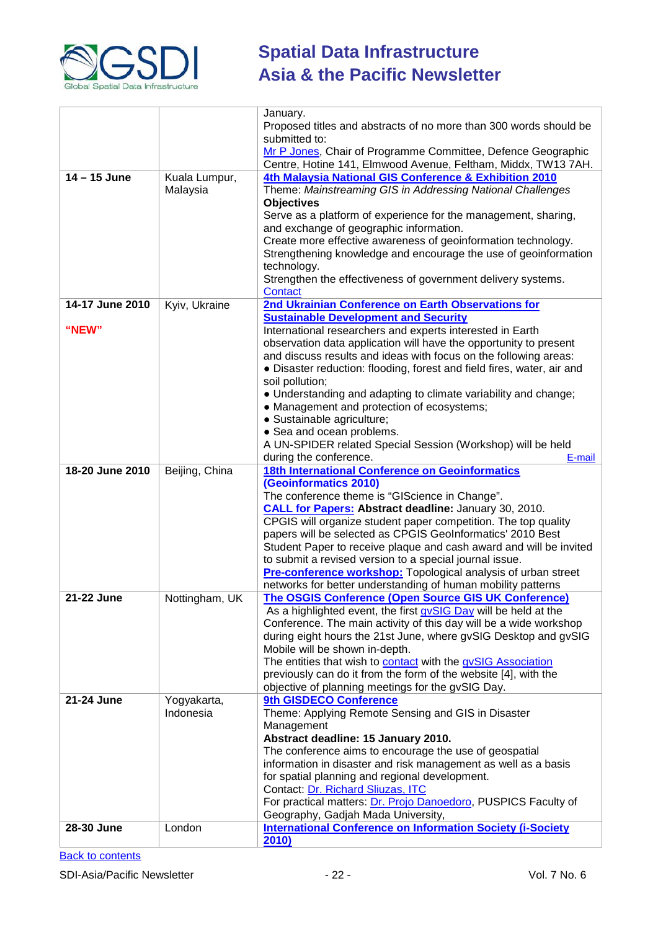

|                 |                           | January.                                                                                                                              |
|-----------------|---------------------------|---------------------------------------------------------------------------------------------------------------------------------------|
|                 |                           | Proposed titles and abstracts of no more than 300 words should be                                                                     |
|                 |                           | submitted to:                                                                                                                         |
|                 |                           | Mr P Jones, Chair of Programme Committee, Defence Geographic                                                                          |
| 14 - 15 June    |                           | Centre, Hotine 141, Elmwood Avenue, Feltham, Middx, TW13 7AH.<br>4th Malaysia National GIS Conference & Exhibition 2010               |
|                 | Kuala Lumpur,<br>Malaysia | Theme: Mainstreaming GIS in Addressing National Challenges                                                                            |
|                 |                           | <b>Objectives</b>                                                                                                                     |
|                 |                           | Serve as a platform of experience for the management, sharing,                                                                        |
|                 |                           | and exchange of geographic information.                                                                                               |
|                 |                           | Create more effective awareness of geoinformation technology.                                                                         |
|                 |                           | Strengthening knowledge and encourage the use of geoinformation                                                                       |
|                 |                           | technology.                                                                                                                           |
|                 |                           | Strengthen the effectiveness of government delivery systems.                                                                          |
|                 |                           | Contact                                                                                                                               |
| 14-17 June 2010 | Kyiv, Ukraine             | 2nd Ukrainian Conference on Earth Observations for                                                                                    |
|                 |                           | <b>Sustainable Development and Security</b>                                                                                           |
| "NEW"           |                           | International researchers and experts interested in Earth                                                                             |
|                 |                           | observation data application will have the opportunity to present<br>and discuss results and ideas with focus on the following areas: |
|                 |                           | • Disaster reduction: flooding, forest and field fires, water, air and                                                                |
|                 |                           | soil pollution;                                                                                                                       |
|                 |                           | • Understanding and adapting to climate variability and change;                                                                       |
|                 |                           | • Management and protection of ecosystems;                                                                                            |
|                 |                           | · Sustainable agriculture;                                                                                                            |
|                 |                           | • Sea and ocean problems.                                                                                                             |
|                 |                           | A UN-SPIDER related Special Session (Workshop) will be held                                                                           |
|                 |                           | during the conference.<br>E-mail                                                                                                      |
| 18-20 June 2010 | Beijing, China            | <b>18th International Conference on Geoinformatics</b>                                                                                |
|                 |                           | (Geoinformatics 2010)<br>The conference theme is "GIScience in Change".                                                               |
|                 |                           | <b>CALL for Papers: Abstract deadline: January 30, 2010.</b>                                                                          |
|                 |                           | CPGIS will organize student paper competition. The top quality                                                                        |
|                 |                           | papers will be selected as CPGIS GeoInformatics' 2010 Best                                                                            |
|                 |                           | Student Paper to receive plaque and cash award and will be invited                                                                    |
|                 |                           | to submit a revised version to a special journal issue.                                                                               |
|                 |                           | Pre-conference workshop: Topological analysis of urban street                                                                         |
|                 |                           | networks for better understanding of human mobility patterns                                                                          |
| 21-22 June      | Nottingham, UK            | The OSGIS Conference (Open Source GIS UK Conference)<br>As a highlighted event, the first gvSIG Day will be held at the               |
|                 |                           | Conference. The main activity of this day will be a wide workshop                                                                     |
|                 |                           | during eight hours the 21st June, where gvSIG Desktop and gvSIG                                                                       |
|                 |                           | Mobile will be shown in-depth.                                                                                                        |
|                 |                           | The entities that wish to contact with the gvSIG Association                                                                          |
|                 |                           | previously can do it from the form of the website [4], with the                                                                       |
|                 |                           | objective of planning meetings for the gvSIG Day.                                                                                     |
| 21-24 June      | Yogyakarta,               | 9th GISDECO Conference                                                                                                                |
|                 | Indonesia                 | Theme: Applying Remote Sensing and GIS in Disaster                                                                                    |
|                 |                           | Management<br>Abstract deadline: 15 January 2010.                                                                                     |
|                 |                           | The conference aims to encourage the use of geospatial                                                                                |
|                 |                           | information in disaster and risk management as well as a basis                                                                        |
|                 |                           | for spatial planning and regional development.                                                                                        |
|                 |                           | Contact: Dr. Richard Sliuzas, ITC                                                                                                     |
|                 |                           | For practical matters: Dr. Projo Danoedoro, PUSPICS Faculty of                                                                        |
|                 |                           | Geography, Gadjah Mada University,                                                                                                    |
| 28-30 June      | London                    | <b>International Conference on Information Society (i-Society</b>                                                                     |
|                 |                           | 2010)                                                                                                                                 |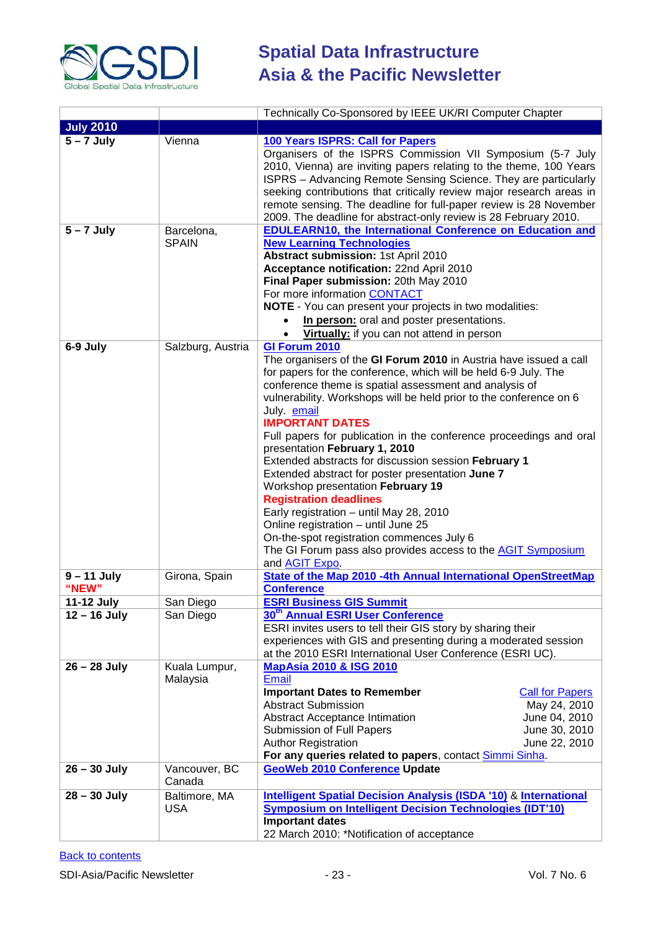

|                   |                   | Technically Co-Sponsored by IEEE UK/RI Computer Chapter                     |  |
|-------------------|-------------------|-----------------------------------------------------------------------------|--|
| <b>July 2010</b>  |                   |                                                                             |  |
| $5 - 7$ July      | Vienna            | 100 Years ISPRS: Call for Papers                                            |  |
|                   |                   | Organisers of the ISPRS Commission VII Symposium (5-7 July                  |  |
|                   |                   | 2010, Vienna) are inviting papers relating to the theme, 100 Years          |  |
|                   |                   | ISPRS - Advancing Remote Sensing Science. They are particularly             |  |
|                   |                   | seeking contributions that critically review major research areas in        |  |
|                   |                   | remote sensing. The deadline for full-paper review is 28 November           |  |
|                   |                   | 2009. The deadline for abstract-only review is 28 February 2010.            |  |
| $5 - 7$ July      | Barcelona,        | <b>EDULEARN10, the International Conference on Education and</b>            |  |
|                   | <b>SPAIN</b>      | <b>New Learning Technologies</b>                                            |  |
|                   |                   | <b>Abstract submission: 1st April 2010</b>                                  |  |
|                   |                   | Acceptance notification: 22nd April 2010                                    |  |
|                   |                   | Final Paper submission: 20th May 2010                                       |  |
|                   |                   | For more information CONTACT                                                |  |
|                   |                   | NOTE - You can present your projects in two modalities:                     |  |
|                   |                   |                                                                             |  |
|                   |                   | In person: oral and poster presentations.                                   |  |
|                   |                   | Virtually: if you can not attend in person                                  |  |
| 6-9 July          | Salzburg, Austria | GI Forum 2010                                                               |  |
|                   |                   | The organisers of the GI Forum 2010 in Austria have issued a call           |  |
|                   |                   | for papers for the conference, which will be held 6-9 July. The             |  |
|                   |                   | conference theme is spatial assessment and analysis of                      |  |
|                   |                   | vulnerability. Workshops will be held prior to the conference on 6          |  |
|                   |                   | July. email                                                                 |  |
|                   |                   | <b>IMPORTANT DATES</b>                                                      |  |
|                   |                   | Full papers for publication in the conference proceedings and oral          |  |
|                   |                   | presentation February 1, 2010                                               |  |
|                   |                   | Extended abstracts for discussion session February 1                        |  |
|                   |                   | Extended abstract for poster presentation June 7                            |  |
|                   |                   | Workshop presentation February 19                                           |  |
|                   |                   | <b>Registration deadlines</b>                                               |  |
|                   |                   | Early registration - until May 28, 2010                                     |  |
|                   |                   | Online registration - until June 25                                         |  |
|                   |                   | On-the-spot registration commences July 6                                   |  |
|                   |                   | The GI Forum pass also provides access to the AGIT Symposium                |  |
|                   |                   | and AGIT Expo.                                                              |  |
| $9 - 11$ July     | Girona, Spain     | State of the Map 2010 -4th Annual International OpenStreetMap               |  |
| "NEW"             |                   | <b>Conference</b>                                                           |  |
| <b>11-12 July</b> | San Diego         | <b>ESRI Business GIS Summit</b>                                             |  |
| $12 - 16$ July    | San Diego         | 30 <sup>th</sup> Annual ESRI User Conference                                |  |
|                   |                   | ESRI invites users to tell their GIS story by sharing their                 |  |
|                   |                   | experiences with GIS and presenting during a moderated session              |  |
|                   |                   | at the 2010 ESRI International User Conference (ESRI UC).                   |  |
| $26 - 28$ July    | Kuala Lumpur,     | <b>MapAsia 2010 &amp; ISG 2010</b>                                          |  |
|                   | Malaysia          | <b>Email</b>                                                                |  |
|                   |                   | <b>Important Dates to Remember</b><br><b>Call for Papers</b>                |  |
|                   |                   | May 24, 2010<br><b>Abstract Submission</b>                                  |  |
|                   |                   | Abstract Acceptance Intimation<br>June 04, 2010                             |  |
|                   |                   | <b>Submission of Full Papers</b><br>June 30, 2010                           |  |
|                   |                   | <b>Author Registration</b><br>June 22, 2010                                 |  |
|                   |                   | For any queries related to papers, contact Simmi Sinha.                     |  |
| $26 - 30$ July    | Vancouver, BC     | <b>GeoWeb 2010 Conference Update</b>                                        |  |
|                   | Canada            |                                                                             |  |
| $28 - 30$ July    | Baltimore, MA     | <b>Intelligent Spatial Decision Analysis (ISDA '10) &amp; International</b> |  |
|                   | <b>USA</b>        | <b>Symposium on Intelligent Decision Technologies (IDT'10)</b>              |  |
|                   |                   | <b>Important dates</b>                                                      |  |
|                   |                   | 22 March 2010: *Notification of acceptance                                  |  |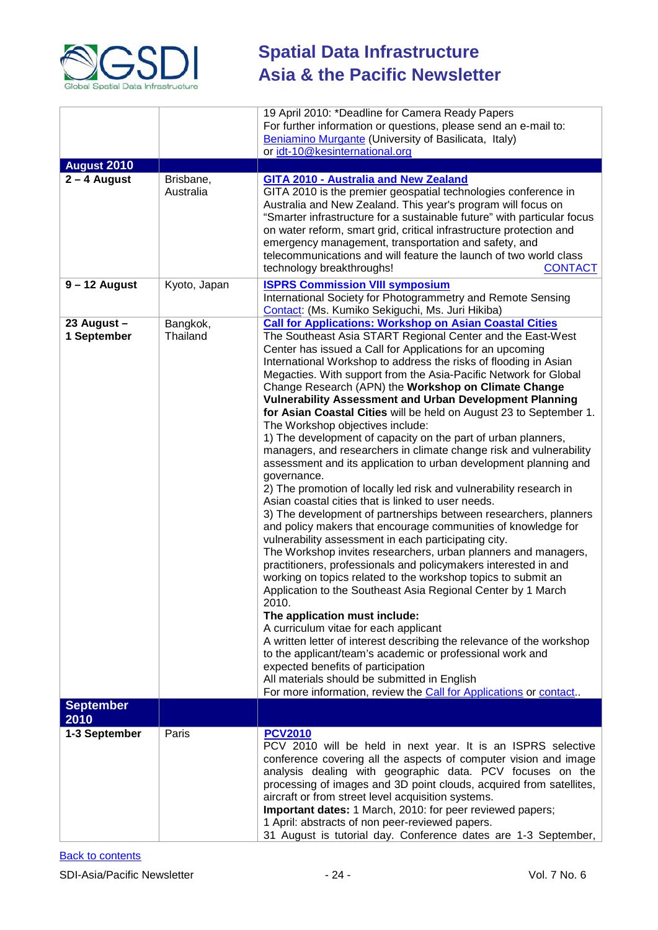

|                            |                        | 19 April 2010: *Deadline for Camera Ready Papers<br>For further information or questions, please send an e-mail to:<br>Beniamino Murgante (University of Basilicata, Italy)<br>or idt-10@kesinternational.org                                                                                                                                                                                                                                                                                                                                                                                                                                                                                                                                                                                                                                                                                                                                                                                                                                                                                                                                                                                                                                                                                                                                                                                                                                                                                                                                                                                                                                                                                                                                                                      |
|----------------------------|------------------------|------------------------------------------------------------------------------------------------------------------------------------------------------------------------------------------------------------------------------------------------------------------------------------------------------------------------------------------------------------------------------------------------------------------------------------------------------------------------------------------------------------------------------------------------------------------------------------------------------------------------------------------------------------------------------------------------------------------------------------------------------------------------------------------------------------------------------------------------------------------------------------------------------------------------------------------------------------------------------------------------------------------------------------------------------------------------------------------------------------------------------------------------------------------------------------------------------------------------------------------------------------------------------------------------------------------------------------------------------------------------------------------------------------------------------------------------------------------------------------------------------------------------------------------------------------------------------------------------------------------------------------------------------------------------------------------------------------------------------------------------------------------------------------|
| August 2010                |                        |                                                                                                                                                                                                                                                                                                                                                                                                                                                                                                                                                                                                                                                                                                                                                                                                                                                                                                                                                                                                                                                                                                                                                                                                                                                                                                                                                                                                                                                                                                                                                                                                                                                                                                                                                                                    |
| $2 - 4$ August             | Brisbane,<br>Australia | <b>GITA 2010 - Australia and New Zealand</b><br>GITA 2010 is the premier geospatial technologies conference in<br>Australia and New Zealand. This year's program will focus on<br>"Smarter infrastructure for a sustainable future" with particular focus<br>on water reform, smart grid, critical infrastructure protection and<br>emergency management, transportation and safety, and<br>telecommunications and will feature the launch of two world class<br>technology breakthroughs!<br><b>CONTACT</b>                                                                                                                                                                                                                                                                                                                                                                                                                                                                                                                                                                                                                                                                                                                                                                                                                                                                                                                                                                                                                                                                                                                                                                                                                                                                       |
| $9 - 12$ August            | Kyoto, Japan           | <b>ISPRS Commission VIII symposium</b><br>International Society for Photogrammetry and Remote Sensing<br>Contact: (Ms. Kumiko Sekiguchi, Ms. Juri Hikiba)                                                                                                                                                                                                                                                                                                                                                                                                                                                                                                                                                                                                                                                                                                                                                                                                                                                                                                                                                                                                                                                                                                                                                                                                                                                                                                                                                                                                                                                                                                                                                                                                                          |
| 23 August -<br>1 September | Bangkok,<br>Thailand   | <b>Call for Applications: Workshop on Asian Coastal Cities</b><br>The Southeast Asia START Regional Center and the East-West<br>Center has issued a Call for Applications for an upcoming<br>International Workshop to address the risks of flooding in Asian<br>Megacties. With support from the Asia-Pacific Network for Global<br>Change Research (APN) the Workshop on Climate Change<br><b>Vulnerability Assessment and Urban Development Planning</b><br>for Asian Coastal Cities will be held on August 23 to September 1.<br>The Workshop objectives include:<br>1) The development of capacity on the part of urban planners,<br>managers, and researchers in climate change risk and vulnerability<br>assessment and its application to urban development planning and<br>governance.<br>2) The promotion of locally led risk and vulnerability research in<br>Asian coastal cities that is linked to user needs.<br>3) The development of partnerships between researchers, planners<br>and policy makers that encourage communities of knowledge for<br>vulnerability assessment in each participating city.<br>The Workshop invites researchers, urban planners and managers,<br>practitioners, professionals and policymakers interested in and<br>working on topics related to the workshop topics to submit an<br>Application to the Southeast Asia Regional Center by 1 March<br>2010.<br>The application must include:<br>A curriculum vitae for each applicant<br>A written letter of interest describing the relevance of the workshop<br>to the applicant/team's academic or professional work and<br>expected benefits of participation<br>All materials should be submitted in English<br>For more information, review the Call for Applications or contact |
| <b>September</b>           |                        |                                                                                                                                                                                                                                                                                                                                                                                                                                                                                                                                                                                                                                                                                                                                                                                                                                                                                                                                                                                                                                                                                                                                                                                                                                                                                                                                                                                                                                                                                                                                                                                                                                                                                                                                                                                    |
| 2010                       |                        |                                                                                                                                                                                                                                                                                                                                                                                                                                                                                                                                                                                                                                                                                                                                                                                                                                                                                                                                                                                                                                                                                                                                                                                                                                                                                                                                                                                                                                                                                                                                                                                                                                                                                                                                                                                    |
| 1-3 September              | Paris                  | <b>PCV2010</b><br>PCV 2010 will be held in next year. It is an ISPRS selective<br>conference covering all the aspects of computer vision and image<br>analysis dealing with geographic data. PCV focuses on the<br>processing of images and 3D point clouds, acquired from satellites,<br>aircraft or from street level acquisition systems.<br>Important dates: 1 March, 2010: for peer reviewed papers;<br>1 April: abstracts of non peer-reviewed papers.<br>31 August is tutorial day. Conference dates are 1-3 September,                                                                                                                                                                                                                                                                                                                                                                                                                                                                                                                                                                                                                                                                                                                                                                                                                                                                                                                                                                                                                                                                                                                                                                                                                                                     |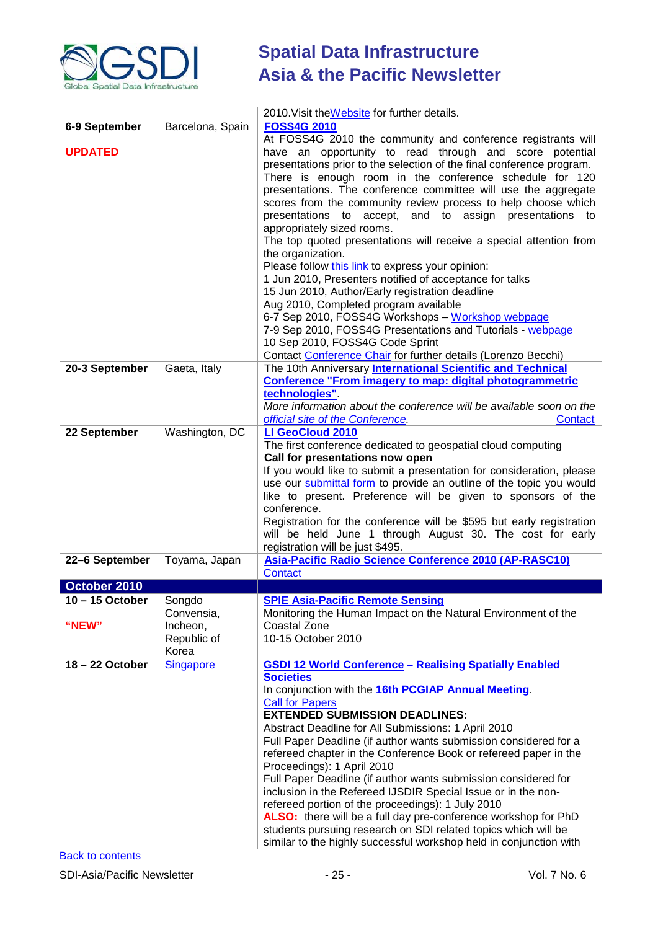

|                              |                         | 2010. Visit the Website for further details.                                                                                   |
|------------------------------|-------------------------|--------------------------------------------------------------------------------------------------------------------------------|
| 6-9 September                | Barcelona, Spain        | <b>FOSS4G 2010</b>                                                                                                             |
|                              |                         | At FOSS4G 2010 the community and conference registrants will                                                                   |
| <b>UPDATED</b>               |                         | have an opportunity to read through and score potential                                                                        |
|                              |                         | presentations prior to the selection of the final conference program.                                                          |
|                              |                         | There is enough room in the conference schedule for 120                                                                        |
|                              |                         | presentations. The conference committee will use the aggregate                                                                 |
|                              |                         | scores from the community review process to help choose which                                                                  |
|                              |                         | presentations to accept, and to assign presentations to<br>appropriately sized rooms.                                          |
|                              |                         | The top quoted presentations will receive a special attention from                                                             |
|                              |                         | the organization.                                                                                                              |
|                              |                         | Please follow this link to express your opinion:                                                                               |
|                              |                         | 1 Jun 2010, Presenters notified of acceptance for talks                                                                        |
|                              |                         | 15 Jun 2010, Author/Early registration deadline                                                                                |
|                              |                         | Aug 2010, Completed program available                                                                                          |
|                              |                         | 6-7 Sep 2010, FOSS4G Workshops - Workshop webpage                                                                              |
|                              |                         | 7-9 Sep 2010, FOSS4G Presentations and Tutorials - webpage                                                                     |
|                              |                         | 10 Sep 2010, FOSS4G Code Sprint                                                                                                |
|                              |                         | Contact Conference Chair for further details (Lorenzo Becchi)                                                                  |
| 20-3 September               | Gaeta, Italy            | The 10th Anniversary International Scientific and Technical<br><b>Conference "From imagery to map: digital photogrammetric</b> |
|                              |                         | technologies".                                                                                                                 |
|                              |                         | More information about the conference will be available soon on the                                                            |
|                              |                         | official site of the Conference.<br>Contact                                                                                    |
| 22 September                 | Washington, DC          | LI GeoCloud 2010                                                                                                               |
|                              |                         | The first conference dedicated to geospatial cloud computing                                                                   |
|                              |                         | Call for presentations now open                                                                                                |
|                              |                         | If you would like to submit a presentation for consideration, please                                                           |
|                              |                         | use our submittal form to provide an outline of the topic you would                                                            |
|                              |                         | like to present. Preference will be given to sponsors of the<br>conference.                                                    |
|                              |                         | Registration for the conference will be \$595 but early registration                                                           |
|                              |                         | will be held June 1 through August 30. The cost for early                                                                      |
|                              |                         | registration will be just \$495.                                                                                               |
| 22-6 September               | Toyama, Japan           | Asia-Pacific Radio Science Conference 2010 (AP-RASC10)                                                                         |
|                              |                         | <b>Contact</b>                                                                                                                 |
| October 2010                 |                         |                                                                                                                                |
| $\overline{10}$ – 15 October | Songdo                  | <b>SPIE Asia-Pacific Remote Sensing</b>                                                                                        |
|                              | Convensia,              | Monitoring the Human Impact on the Natural Environment of the                                                                  |
| "NEW"                        | Incheon,<br>Republic of | Coastal Zone<br>10-15 October 2010                                                                                             |
|                              | Korea                   |                                                                                                                                |
| 18-22 October                | <b>Singapore</b>        | <b>GSDI 12 World Conference - Realising Spatially Enabled</b>                                                                  |
|                              |                         | <b>Societies</b>                                                                                                               |
|                              |                         | In conjunction with the 16th PCGIAP Annual Meeting.                                                                            |
|                              |                         | <b>Call for Papers</b>                                                                                                         |
|                              |                         | <b>EXTENDED SUBMISSION DEADLINES:</b>                                                                                          |
|                              |                         | Abstract Deadline for All Submissions: 1 April 2010                                                                            |
|                              |                         | Full Paper Deadline (if author wants submission considered for a                                                               |
|                              |                         | refereed chapter in the Conference Book or refereed paper in the                                                               |
|                              |                         | Proceedings): 1 April 2010<br>Full Paper Deadline (if author wants submission considered for                                   |
|                              |                         | inclusion in the Refereed IJSDIR Special Issue or in the non-                                                                  |
|                              |                         | refereed portion of the proceedings): 1 July 2010                                                                              |
|                              |                         | ALSO: there will be a full day pre-conference workshop for PhD                                                                 |
|                              |                         | students pursuing research on SDI related topics which will be                                                                 |
|                              |                         | similar to the highly successful workshop held in conjunction with                                                             |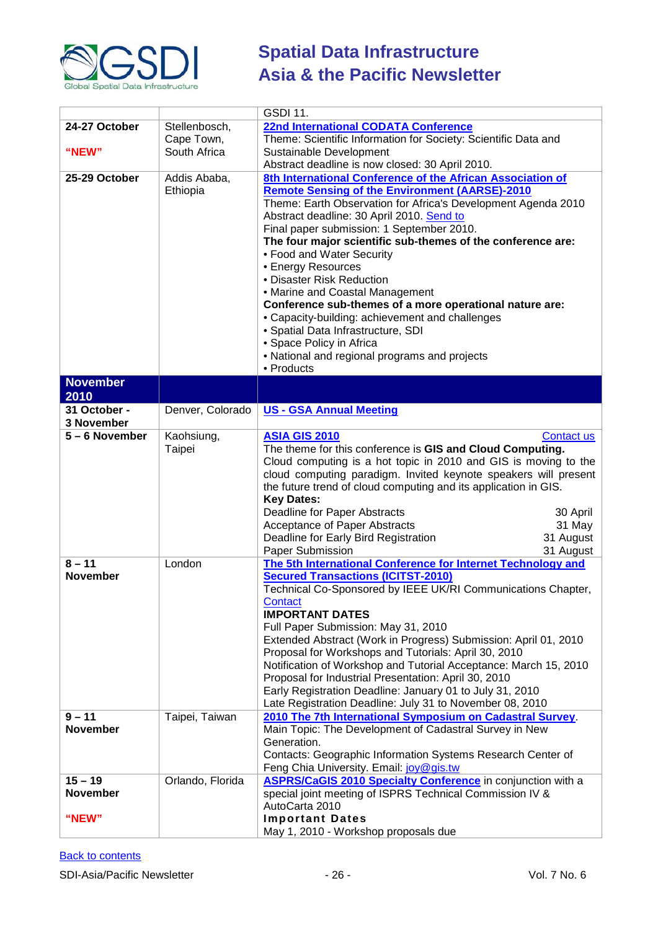

|                            |                  | <b>GSDI 11.</b>                                                                                        |
|----------------------------|------------------|--------------------------------------------------------------------------------------------------------|
| 24-27 October              | Stellenbosch,    | <b>22nd International CODATA Conference</b>                                                            |
|                            | Cape Town,       | Theme: Scientific Information for Society: Scientific Data and                                         |
| "NEW"                      | South Africa     | Sustainable Development                                                                                |
|                            |                  | Abstract deadline is now closed: 30 April 2010.                                                        |
| 25-29 October              | Addis Ababa,     | 8th International Conference of the African Association of                                             |
|                            | Ethiopia         | <b>Remote Sensing of the Environment (AARSE)-2010</b>                                                  |
|                            |                  | Theme: Earth Observation for Africa's Development Agenda 2010                                          |
|                            |                  | Abstract deadline: 30 April 2010. Send to                                                              |
|                            |                  | Final paper submission: 1 September 2010.                                                              |
|                            |                  | The four major scientific sub-themes of the conference are:                                            |
|                            |                  | • Food and Water Security                                                                              |
|                            |                  | • Energy Resources                                                                                     |
|                            |                  | • Disaster Risk Reduction                                                                              |
|                            |                  | • Marine and Coastal Management                                                                        |
|                            |                  | Conference sub-themes of a more operational nature are:                                                |
|                            |                  | • Capacity-building: achievement and challenges                                                        |
|                            |                  | • Spatial Data Infrastructure, SDI                                                                     |
|                            |                  | • Space Policy in Africa                                                                               |
|                            |                  | • National and regional programs and projects                                                          |
| <b>November</b>            |                  | • Products                                                                                             |
| 2010                       |                  |                                                                                                        |
|                            |                  |                                                                                                        |
| 31 October -<br>3 November | Denver, Colorado | <b>US - GSA Annual Meeting</b>                                                                         |
| 5 - 6 November             | Kaohsiung,       | <b>ASIA GIS 2010</b><br><b>Contact us</b>                                                              |
|                            | Taipei           | The theme for this conference is GIS and Cloud Computing.                                              |
|                            |                  | Cloud computing is a hot topic in 2010 and GIS is moving to the                                        |
|                            |                  | cloud computing paradigm. Invited keynote speakers will present                                        |
|                            |                  | the future trend of cloud computing and its application in GIS.                                        |
|                            |                  | <b>Key Dates:</b>                                                                                      |
|                            |                  | <b>Deadline for Paper Abstracts</b><br>30 April                                                        |
|                            |                  | Acceptance of Paper Abstracts<br>31 May                                                                |
|                            |                  | Deadline for Early Bird Registration<br>31 August                                                      |
|                            |                  | Paper Submission<br>31 August                                                                          |
| $8 - 11$                   | London           | The 5th International Conference for Internet Technology and                                           |
| <b>November</b>            |                  | <b>Secured Transactions (ICITST-2010)</b>                                                              |
|                            |                  | Technical Co-Sponsored by IEEE UK/RI Communications Chapter,                                           |
|                            |                  | Contact                                                                                                |
|                            |                  | <b>IMPORTANT DATES</b>                                                                                 |
|                            |                  | Full Paper Submission: May 31, 2010<br>Extended Abstract (Work in Progress) Submission: April 01, 2010 |
|                            |                  | Proposal for Workshops and Tutorials: April 30, 2010                                                   |
|                            |                  | Notification of Workshop and Tutorial Acceptance: March 15, 2010                                       |
|                            |                  | Proposal for Industrial Presentation: April 30, 2010                                                   |
|                            |                  | Early Registration Deadline: January 01 to July 31, 2010                                               |
|                            |                  | Late Registration Deadline: July 31 to November 08, 2010                                               |
| $9 - 11$                   | Taipei, Taiwan   | 2010 The 7th International Symposium on Cadastral Survey.                                              |
| <b>November</b>            |                  | Main Topic: The Development of Cadastral Survey in New                                                 |
|                            |                  | Generation.                                                                                            |
|                            |                  | Contacts: Geographic Information Systems Research Center of                                            |
|                            |                  | Feng Chia University. Email: joy@gis.tw                                                                |
| $15 - 19$                  | Orlando, Florida | <b>ASPRS/CaGIS 2010 Specialty Conference</b> in conjunction with a                                     |
| <b>November</b>            |                  | special joint meeting of ISPRS Technical Commission IV &                                               |
|                            |                  | AutoCarta 2010                                                                                         |
| "NEW"                      |                  | <b>Important Dates</b>                                                                                 |
|                            |                  | May 1, 2010 - Workshop proposals due                                                                   |